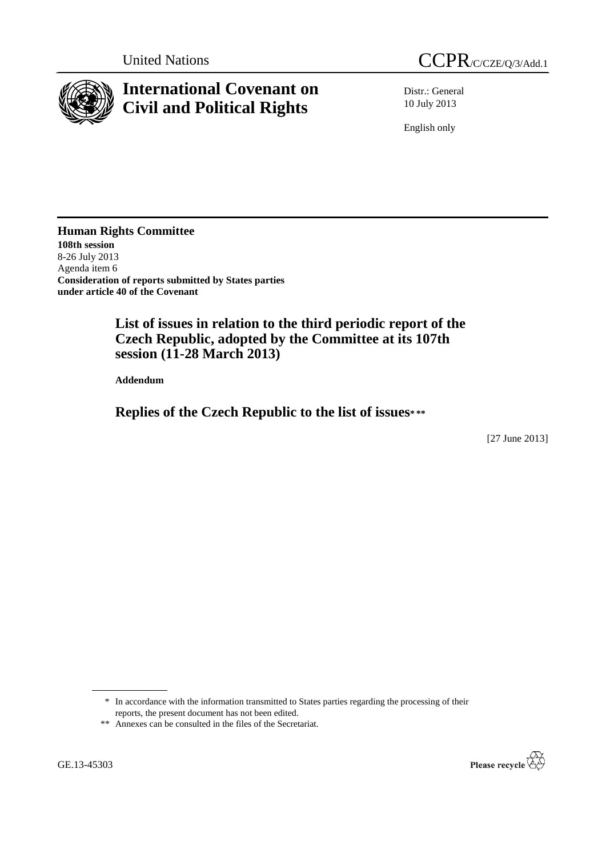

# **International Covenant on Civil and Political Rights**

Distr.: General 10 July 2013

English only

**Human Rights Committee 108th session** 8-26 July 2013 Agenda item 6 **Consideration of reports submitted by States parties under article 40 of the Covenant**

> **List of issues in relation to the third periodic report of the Czech Republic, adopted by the Committee at its 107th session (11-28 March 2013)**

**Addendum**

**Replies of the Czech Republic to the list of issues\* \*\***

[27 June 2013]

\* In accordance with the information transmitted to States parties regarding the processing of their reports, the present document has not been edited.



<sup>\*\*</sup> Annexes can be consulted in the files of the Secretariat.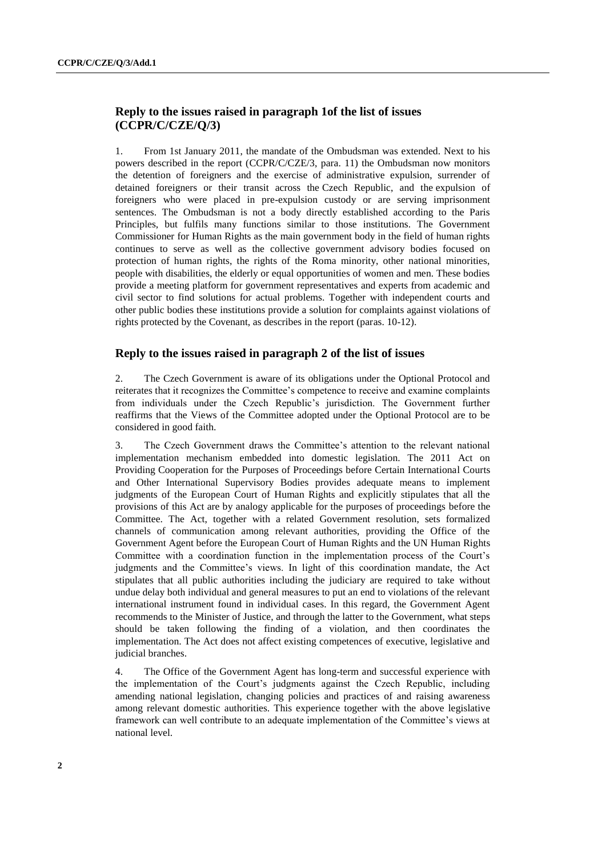# **Reply to the issues raised in paragraph 1of the list of issues (CCPR/C/CZE/Q/3)**

1. From 1st January 2011, the mandate of the Ombudsman was extended. Next to his powers described in the report (CCPR/C/CZE/3, para. 11) the Ombudsman now monitors the detention of foreigners and the exercise of administrative expulsion, surrender of detained foreigners or their transit across the Czech Republic, and the expulsion of foreigners who were placed in pre-expulsion custody or are serving imprisonment sentences. The Ombudsman is not a body directly established according to the Paris Principles, but fulfils many functions similar to those institutions. The Government Commissioner for Human Rights as the main government body in the field of human rights continues to serve as well as the collective government advisory bodies focused on protection of human rights, the rights of the Roma minority, other national minorities, people with disabilities, the elderly or equal opportunities of women and men. These bodies provide a meeting platform for government representatives and experts from academic and civil sector to find solutions for actual problems. Together with independent courts and other public bodies these institutions provide a solution for complaints against violations of rights protected by the Covenant, as describes in the report (paras. 10-12).

## **Reply to the issues raised in paragraph 2 of the list of issues**

2. The Czech Government is aware of its obligations under the Optional Protocol and reiterates that it recognizes the Committee's competence to receive and examine complaints from individuals under the Czech Republic's jurisdiction. The Government further reaffirms that the Views of the Committee adopted under the Optional Protocol are to be considered in good faith.

3. The Czech Government draws the Committee's attention to the relevant national implementation mechanism embedded into domestic legislation. The 2011 Act on Providing Cooperation for the Purposes of Proceedings before Certain International Courts and Other International Supervisory Bodies provides adequate means to implement judgments of the European Court of Human Rights and explicitly stipulates that all the provisions of this Act are by analogy applicable for the purposes of proceedings before the Committee. The Act, together with a related Government resolution, sets formalized channels of communication among relevant authorities, providing the Office of the Government Agent before the European Court of Human Rights and the UN Human Rights Committee with a coordination function in the implementation process of the Court's judgments and the Committee's views. In light of this coordination mandate, the Act stipulates that all public authorities including the judiciary are required to take without undue delay both individual and general measures to put an end to violations of the relevant international instrument found in individual cases. In this regard, the Government Agent recommends to the Minister of Justice, and through the latter to the Government, what steps should be taken following the finding of a violation, and then coordinates the implementation. The Act does not affect existing competences of executive, legislative and judicial branches.

4. The Office of the Government Agent has long-term and successful experience with the implementation of the Court's judgments against the Czech Republic, including amending national legislation, changing policies and practices of and raising awareness among relevant domestic authorities. This experience together with the above legislative framework can well contribute to an adequate implementation of the Committee's views at national level.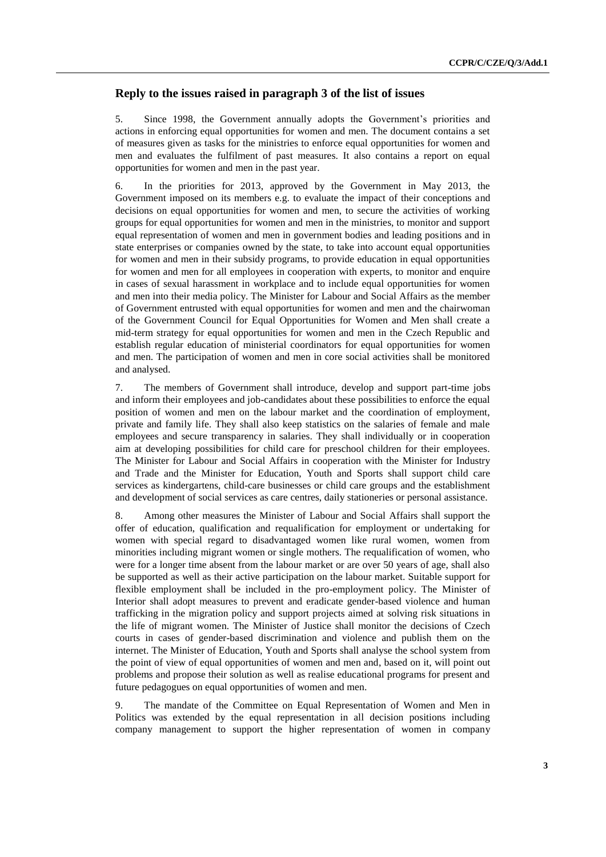# **Reply to the issues raised in paragraph 3 of the list of issues**

5. Since 1998, the Government annually adopts the Government's priorities and actions in enforcing equal opportunities for women and men. The document contains a set of measures given as tasks for the ministries to enforce equal opportunities for women and men and evaluates the fulfilment of past measures. It also contains a report on equal opportunities for women and men in the past year.

6. In the priorities for 2013, approved by the Government in May 2013, the Government imposed on its members e.g. to evaluate the impact of their conceptions and decisions on equal opportunities for women and men, to secure the activities of working groups for equal opportunities for women and men in the ministries, to monitor and support equal representation of women and men in government bodies and leading positions and in state enterprises or companies owned by the state, to take into account equal opportunities for women and men in their subsidy programs, to provide education in equal opportunities for women and men for all employees in cooperation with experts, to monitor and enquire in cases of sexual harassment in workplace and to include equal opportunities for women and men into their media policy. The Minister for Labour and Social Affairs as the member of Government entrusted with equal opportunities for women and men and the chairwoman of the Government Council for Equal Opportunities for Women and Men shall create a mid-term strategy for equal opportunities for women and men in the Czech Republic and establish regular education of ministerial coordinators for equal opportunities for women and men. The participation of women and men in core social activities shall be monitored and analysed.

7. The members of Government shall introduce, develop and support part-time jobs and inform their employees and job-candidates about these possibilities to enforce the equal position of women and men on the labour market and the coordination of employment, private and family life. They shall also keep statistics on the salaries of female and male employees and secure transparency in salaries. They shall individually or in cooperation aim at developing possibilities for child care for preschool children for their employees. The Minister for Labour and Social Affairs in cooperation with the Minister for Industry and Trade and the Minister for Education, Youth and Sports shall support child care services as kindergartens, child-care businesses or child care groups and the establishment and development of social services as care centres, daily stationeries or personal assistance.

8. Among other measures the Minister of Labour and Social Affairs shall support the offer of education, qualification and requalification for employment or undertaking for women with special regard to disadvantaged women like rural women, women from minorities including migrant women or single mothers. The requalification of women, who were for a longer time absent from the labour market or are over 50 years of age, shall also be supported as well as their active participation on the labour market. Suitable support for flexible employment shall be included in the pro-employment policy. The Minister of Interior shall adopt measures to prevent and eradicate gender-based violence and human trafficking in the migration policy and support projects aimed at solving risk situations in the life of migrant women. The Minister of Justice shall monitor the decisions of Czech courts in cases of gender-based discrimination and violence and publish them on the internet. The Minister of Education, Youth and Sports shall analyse the school system from the point of view of equal opportunities of women and men and, based on it, will point out problems and propose their solution as well as realise educational programs for present and future pedagogues on equal opportunities of women and men.

9. The mandate of the Committee on Equal Representation of Women and Men in Politics was extended by the equal representation in all decision positions including company management to support the higher representation of women in company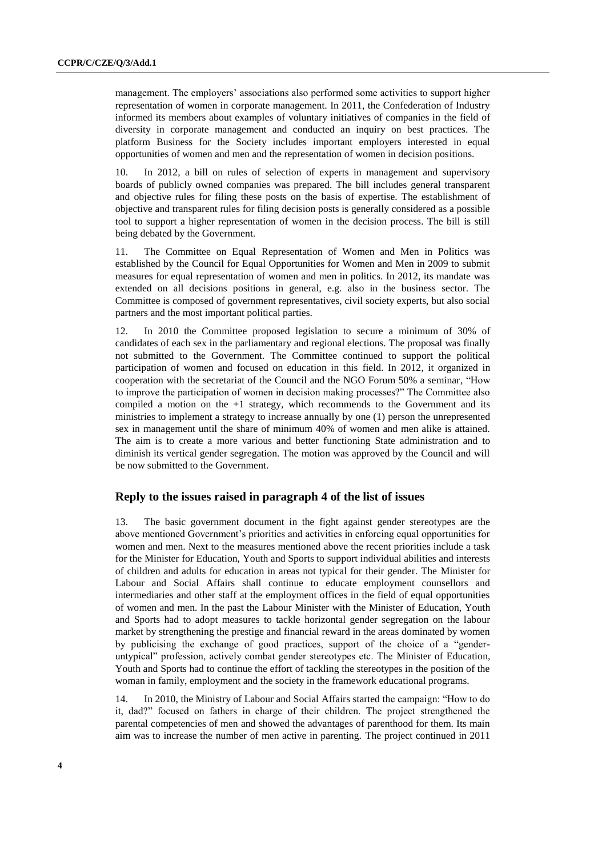management. The employers' associations also performed some activities to support higher representation of women in corporate management. In 2011, the Confederation of Industry informed its members about examples of voluntary initiatives of companies in the field of diversity in corporate management and conducted an inquiry on best practices. The platform Business for the Society includes important employers interested in equal opportunities of women and men and the representation of women in decision positions.

10. In 2012, a bill on rules of selection of experts in management and supervisory boards of publicly owned companies was prepared. The bill includes general transparent and objective rules for filing these posts on the basis of expertise. The establishment of objective and transparent rules for filing decision posts is generally considered as a possible tool to support a higher representation of women in the decision process. The bill is still being debated by the Government.

11. The Committee on Equal Representation of Women and Men in Politics was established by the Council for Equal Opportunities for Women and Men in 2009 to submit measures for equal representation of women and men in politics. In 2012, its mandate was extended on all decisions positions in general, e.g. also in the business sector. The Committee is composed of government representatives, civil society experts, but also social partners and the most important political parties.

12. In 2010 the Committee proposed legislation to secure a minimum of 30% of candidates of each sex in the parliamentary and regional elections. The proposal was finally not submitted to the Government. The Committee continued to support the political participation of women and focused on education in this field. In 2012, it organized in cooperation with the secretariat of the Council and the NGO Forum 50% a seminar, "How to improve the participation of women in decision making processes?" The Committee also compiled a motion on the  $+1$  strategy, which recommends to the Government and its ministries to implement a strategy to increase annually by one (1) person the unrepresented sex in management until the share of minimum 40% of women and men alike is attained. The aim is to create a more various and better functioning State administration and to diminish its vertical gender segregation. The motion was approved by the Council and will be now submitted to the Government.

## **Reply to the issues raised in paragraph 4 of the list of issues**

13. The basic government document in the fight against gender stereotypes are the above mentioned Government's priorities and activities in enforcing equal opportunities for women and men. Next to the measures mentioned above the recent priorities include a task for the Minister for Education, Youth and Sports to support individual abilities and interests of children and adults for education in areas not typical for their gender. The Minister for Labour and Social Affairs shall continue to educate employment counsellors and intermediaries and other staff at the employment offices in the field of equal opportunities of women and men. In the past the Labour Minister with the Minister of Education, Youth and Sports had to adopt measures to tackle horizontal gender segregation on the labour market by strengthening the prestige and financial reward in the areas dominated by women by publicising the exchange of good practices, support of the choice of a "genderuntypical" profession, actively combat gender stereotypes etc. The Minister of Education, Youth and Sports had to continue the effort of tackling the stereotypes in the position of the woman in family, employment and the society in the framework educational programs.

14. In 2010, the Ministry of Labour and Social Affairs started the campaign: "How to do it, dad?" focused on fathers in charge of their children. The project strengthened the parental competencies of men and showed the advantages of parenthood for them. Its main aim was to increase the number of men active in parenting. The project continued in 2011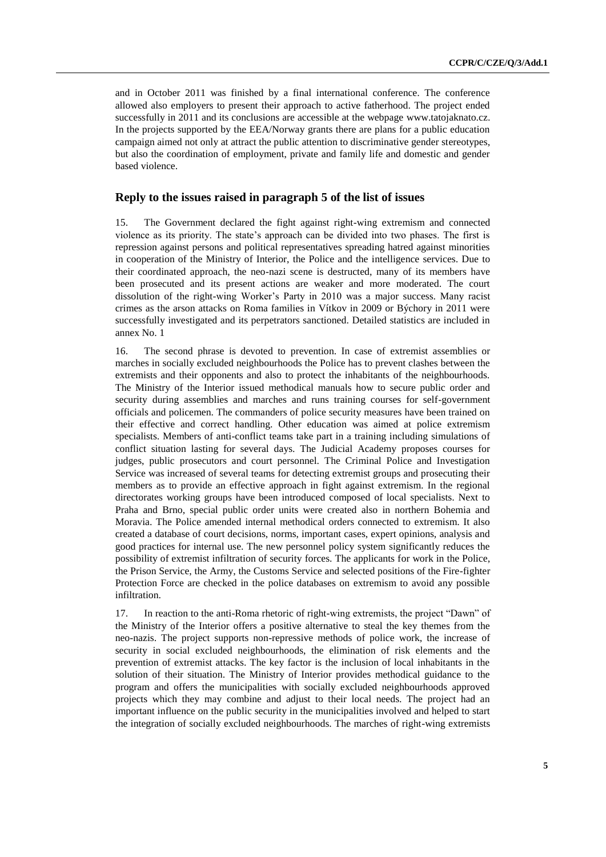and in October 2011 was finished by a final international conference. The conference allowed also employers to present their approach to active fatherhood. The project ended successfully in 2011 and its conclusions are accessible at the webpage [www.tatojaknato.cz.](http://www.tatojaknato.cz/) In the projects supported by the EEA/Norway grants there are plans for a public education campaign aimed not only at attract the public attention to discriminative gender stereotypes, but also the coordination of employment, private and family life and domestic and gender based violence.

# **Reply to the issues raised in paragraph 5 of the list of issues**

15. The Government declared the fight against right-wing extremism and connected violence as its priority. The state's approach can be divided into two phases. The first is repression against persons and political representatives spreading hatred against minorities in cooperation of the Ministry of Interior, the Police and the intelligence services. Due to their coordinated approach, the neo-nazi scene is destructed, many of its members have been prosecuted and its present actions are weaker and more moderated. The court dissolution of the right-wing Worker's Party in 2010 was a major success. Many racist crimes as the arson attacks on Roma families in Vítkov in 2009 or Býchory in 2011 were successfully investigated and its perpetrators sanctioned. Detailed statistics are included in annex No. 1

16. The second phrase is devoted to prevention. In case of extremist assemblies or marches in socially excluded neighbourhoods the Police has to prevent clashes between the extremists and their opponents and also to protect the inhabitants of the neighbourhoods. The Ministry of the Interior issued methodical manuals how to secure public order and security during assemblies and marches and runs training courses for self-government officials and policemen. The commanders of police security measures have been trained on their effective and correct handling. Other education was aimed at police extremism specialists. Members of anti-conflict teams take part in a training including simulations of conflict situation lasting for several days. The Judicial Academy proposes courses for judges, public prosecutors and court personnel. The Criminal Police and Investigation Service was increased of several teams for detecting extremist groups and prosecuting their members as to provide an effective approach in fight against extremism. In the regional directorates working groups have been introduced composed of local specialists. Next to Praha and Brno, special public order units were created also in northern Bohemia and Moravia. The Police amended internal methodical orders connected to extremism. It also created a database of court decisions, norms, important cases, expert opinions, analysis and good practices for internal use. The new personnel policy system significantly reduces the possibility of extremist infiltration of security forces. The applicants for work in the Police, the Prison Service, the Army, the Customs Service and selected positions of the Fire-fighter Protection Force are checked in the police databases on extremism to avoid any possible infiltration.

17. In reaction to the anti-Roma rhetoric of right-wing extremists, the project "Dawn" of the Ministry of the Interior offers a positive alternative to steal the key themes from the neo-nazis. The project supports non-repressive methods of police work, the increase of security in social excluded neighbourhoods, the elimination of risk elements and the prevention of extremist attacks. The key factor is the inclusion of local inhabitants in the solution of their situation. The Ministry of Interior provides methodical guidance to the program and offers the municipalities with socially excluded neighbourhoods approved projects which they may combine and adjust to their local needs. The project had an important influence on the public security in the municipalities involved and helped to start the integration of socially excluded neighbourhoods. The marches of right-wing extremists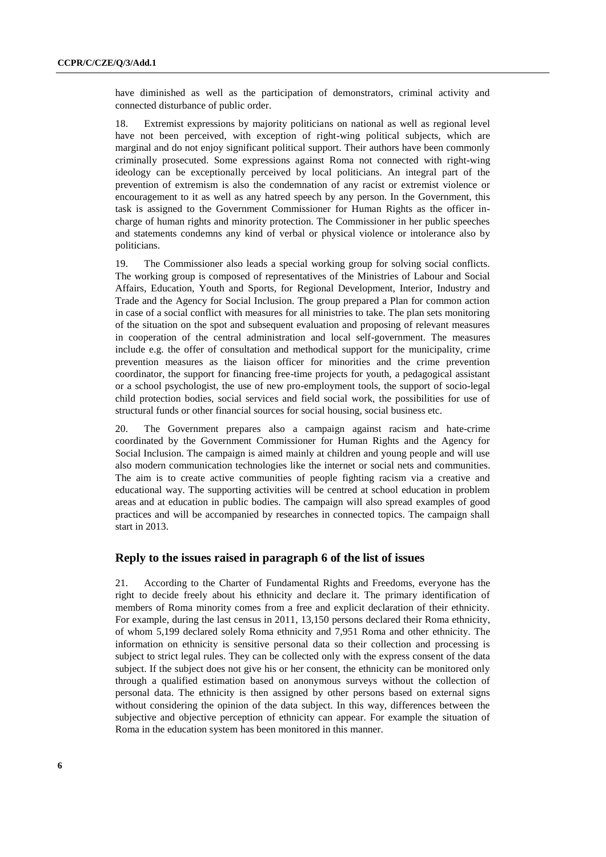have diminished as well as the participation of demonstrators, criminal activity and connected disturbance of public order.

18. Extremist expressions by majority politicians on national as well as regional level have not been perceived, with exception of right-wing political subjects, which are marginal and do not enjoy significant political support. Their authors have been commonly criminally prosecuted. Some expressions against Roma not connected with right-wing ideology can be exceptionally perceived by local politicians. An integral part of the prevention of extremism is also the condemnation of any racist or extremist violence or encouragement to it as well as any hatred speech by any person. In the Government, this task is assigned to the Government Commissioner for Human Rights as the officer incharge of human rights and minority protection. The Commissioner in her public speeches and statements condemns any kind of verbal or physical violence or intolerance also by politicians.

19. The Commissioner also leads a special working group for solving social conflicts. The working group is composed of representatives of the Ministries of Labour and Social Affairs, Education, Youth and Sports, for Regional Development, Interior, Industry and Trade and the Agency for Social Inclusion. The group prepared a Plan for common action in case of a social conflict with measures for all ministries to take. The plan sets monitoring of the situation on the spot and subsequent evaluation and proposing of relevant measures in cooperation of the central administration and local self-government. The measures include e.g. the offer of consultation and methodical support for the municipality, crime prevention measures as the liaison officer for minorities and the crime prevention coordinator, the support for financing free-time projects for youth, a pedagogical assistant or a school psychologist, the use of new pro-employment tools, the support of socio-legal child protection bodies, social services and field social work, the possibilities for use of structural funds or other financial sources for social housing, social business etc.

20. The Government prepares also a campaign against racism and hate-crime coordinated by the Government Commissioner for Human Rights and the Agency for Social Inclusion. The campaign is aimed mainly at children and young people and will use also modern communication technologies like the internet or social nets and communities. The aim is to create active communities of people fighting racism via a creative and educational way. The supporting activities will be centred at school education in problem areas and at education in public bodies. The campaign will also spread examples of good practices and will be accompanied by researches in connected topics. The campaign shall start in 2013.

## **Reply to the issues raised in paragraph 6 of the list of issues**

21. According to the Charter of Fundamental Rights and Freedoms, everyone has the right to decide freely about his ethnicity and declare it. The primary identification of members of Roma minority comes from a free and explicit declaration of their ethnicity. For example, during the last census in 2011, 13,150 persons declared their Roma ethnicity, of whom 5,199 declared solely Roma ethnicity and 7,951 Roma and other ethnicity. The information on ethnicity is sensitive personal data so their collection and processing is subject to strict legal rules. They can be collected only with the express consent of the data subject. If the subject does not give his or her consent, the ethnicity can be monitored only through a qualified estimation based on anonymous surveys without the collection of personal data. The ethnicity is then assigned by other persons based on external signs without considering the opinion of the data subject. In this way, differences between the subjective and objective perception of ethnicity can appear. For example the situation of Roma in the education system has been monitored in this manner.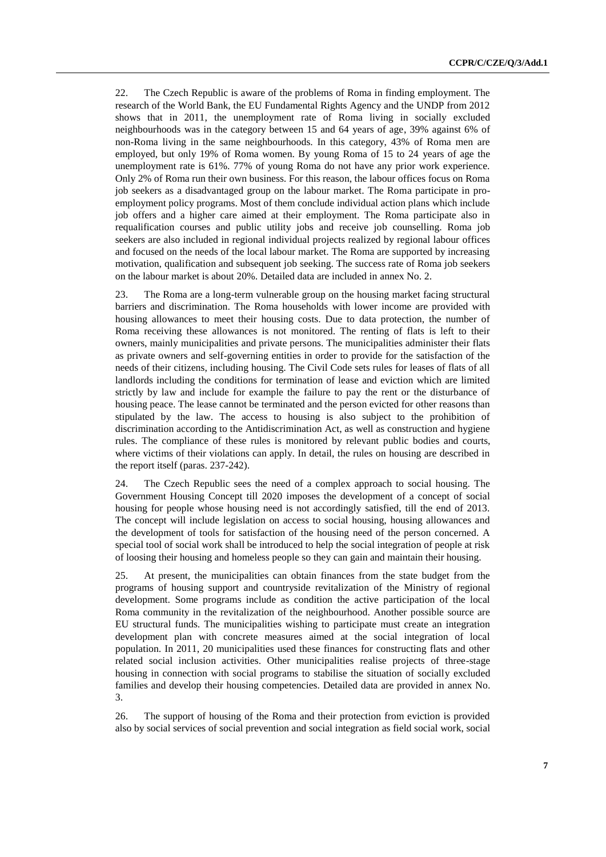22. The Czech Republic is aware of the problems of Roma in finding employment. The research of the World Bank, the EU Fundamental Rights Agency and the UNDP from 2012 shows that in 2011, the unemployment rate of Roma living in socially excluded neighbourhoods was in the category between 15 and 64 years of age, 39% against 6% of non-Roma living in the same neighbourhoods. In this category, 43% of Roma men are employed, but only 19% of Roma women. By young Roma of 15 to 24 years of age the unemployment rate is 61%. 77% of young Roma do not have any prior work experience. Only 2% of Roma run their own business. For this reason, the labour offices focus on Roma job seekers as a disadvantaged group on the labour market. The Roma participate in proemployment policy programs. Most of them conclude individual action plans which include job offers and a higher care aimed at their employment. The Roma participate also in requalification courses and public utility jobs and receive job counselling. Roma job seekers are also included in regional individual projects realized by regional labour offices and focused on the needs of the local labour market. The Roma are supported by increasing motivation, qualification and subsequent job seeking. The success rate of Roma job seekers on the labour market is about 20%. Detailed data are included in annex No. 2.

23. The Roma are a long-term vulnerable group on the housing market facing structural barriers and discrimination. The Roma households with lower income are provided with housing allowances to meet their housing costs. Due to data protection, the number of Roma receiving these allowances is not monitored. The renting of flats is left to their owners, mainly municipalities and private persons. The municipalities administer their flats as private owners and self-governing entities in order to provide for the satisfaction of the needs of their citizens, including housing. The Civil Code sets rules for leases of flats of all landlords including the conditions for termination of lease and eviction which are limited strictly by law and include for example the failure to pay the rent or the disturbance of housing peace. The lease cannot be terminated and the person evicted for other reasons than stipulated by the law. The access to housing is also subject to the prohibition of discrimination according to the Antidiscrimination Act, as well as construction and hygiene rules. The compliance of these rules is monitored by relevant public bodies and courts, where victims of their violations can apply. In detail, the rules on housing are described in the report itself (paras. 237-242).

24. The Czech Republic sees the need of a complex approach to social housing. The Government Housing Concept till 2020 imposes the development of a concept of social housing for people whose housing need is not accordingly satisfied, till the end of 2013. The concept will include legislation on access to social housing, housing allowances and the development of tools for satisfaction of the housing need of the person concerned. A special tool of social work shall be introduced to help the social integration of people at risk of loosing their housing and homeless people so they can gain and maintain their housing.

25. At present, the municipalities can obtain finances from the state budget from the programs of housing support and countryside revitalization of the Ministry of regional development. Some programs include as condition the active participation of the local Roma community in the revitalization of the neighbourhood. Another possible source are EU structural funds. The municipalities wishing to participate must create an integration development plan with concrete measures aimed at the social integration of local population. In 2011, 20 municipalities used these finances for constructing flats and other related social inclusion activities. Other municipalities realise projects of three-stage housing in connection with social programs to stabilise the situation of socially excluded families and develop their housing competencies. Detailed data are provided in annex No. 3.

26. The support of housing of the Roma and their protection from eviction is provided also by social services of social prevention and social integration as field social work, social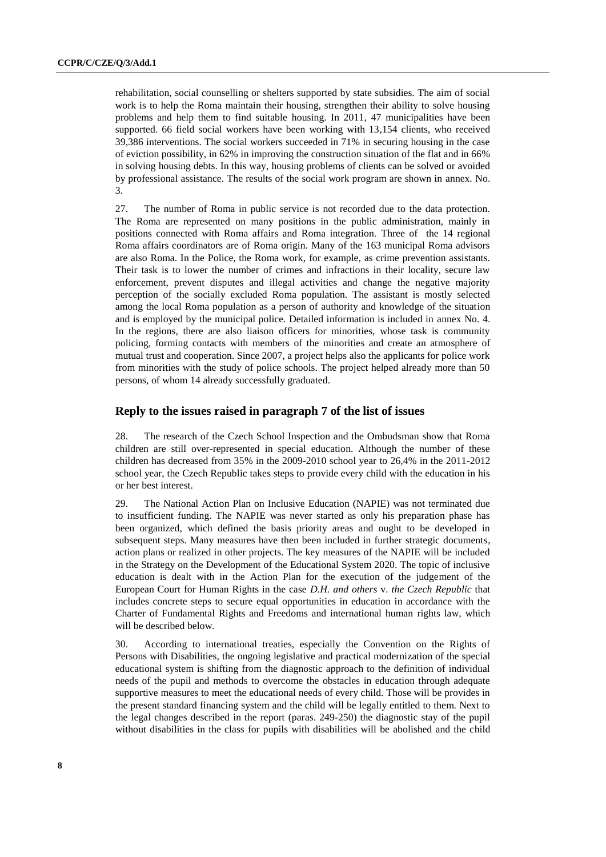rehabilitation, social counselling or shelters supported by state subsidies. The aim of social work is to help the Roma maintain their housing, strengthen their ability to solve housing problems and help them to find suitable housing. In 2011, 47 municipalities have been supported. 66 field social workers have been working with 13,154 clients, who received 39,386 interventions. The social workers succeeded in 71% in securing housing in the case of eviction possibility, in 62% in improving the construction situation of the flat and in 66% in solving housing debts. In this way, housing problems of clients can be solved or avoided by professional assistance. The results of the social work program are shown in annex. No. 3.

27. The number of Roma in public service is not recorded due to the data protection. The Roma are represented on many positions in the public administration, mainly in positions connected with Roma affairs and Roma integration. Three of the 14 regional Roma affairs coordinators are of Roma origin. Many of the 163 municipal Roma advisors are also Roma. In the Police, the Roma work, for example, as crime prevention assistants. Their task is to lower the number of crimes and infractions in their locality, secure law enforcement, prevent disputes and illegal activities and change the negative majority perception of the socially excluded Roma population. The assistant is mostly selected among the local Roma population as a person of authority and knowledge of the situation and is employed by the municipal police. Detailed information is included in annex No. 4. In the regions, there are also liaison officers for minorities, whose task is community policing, forming contacts with members of the minorities and create an atmosphere of mutual trust and cooperation. Since 2007, a project helps also the applicants for police work from minorities with the study of police schools. The project helped already more than 50 persons, of whom 14 already successfully graduated.

#### **Reply to the issues raised in paragraph 7 of the list of issues**

28. The research of the Czech School Inspection and the Ombudsman show that Roma children are still over-represented in special education. Although the number of these children has decreased from 35% in the 2009-2010 school year to 26,4% in the 2011-2012 school year, the Czech Republic takes steps to provide every child with the education in his or her best interest.

29. The National Action Plan on Inclusive Education (NAPIE) was not terminated due to insufficient funding. The NAPIE was never started as only his preparation phase has been organized, which defined the basis priority areas and ought to be developed in subsequent steps. Many measures have then been included in further strategic documents, action plans or realized in other projects. The key measures of the NAPIE will be included in the Strategy on the Development of the Educational System 2020. The topic of inclusive education is dealt with in the Action Plan for the execution of the judgement of the European Court for Human Rights in the case *D.H. and others* v. *the Czech Republic* that includes concrete steps to secure equal opportunities in education in accordance with the Charter of Fundamental Rights and Freedoms and international human rights law, which will be described below.

30. According to international treaties, especially the Convention on the Rights of Persons with Disabilities, the ongoing legislative and practical modernization of the special educational system is shifting from the diagnostic approach to the definition of individual needs of the pupil and methods to overcome the obstacles in education through adequate supportive measures to meet the educational needs of every child. Those will be provides in the present standard financing system and the child will be legally entitled to them. Next to the legal changes described in the report (paras. 249-250) the diagnostic stay of the pupil without disabilities in the class for pupils with disabilities will be abolished and the child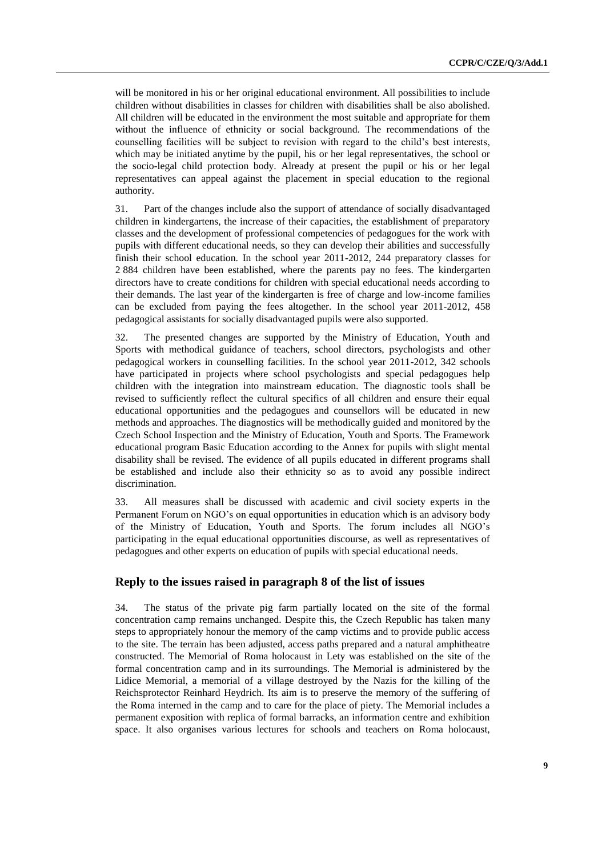will be monitored in his or her original educational environment. All possibilities to include children without disabilities in classes for children with disabilities shall be also abolished. All children will be educated in the environment the most suitable and appropriate for them without the influence of ethnicity or social background. The recommendations of the counselling facilities will be subject to revision with regard to the child's best interests, which may be initiated anytime by the pupil, his or her legal representatives, the school or the socio-legal child protection body. Already at present the pupil or his or her legal representatives can appeal against the placement in special education to the regional authority.

31. Part of the changes include also the support of attendance of socially disadvantaged children in kindergartens, the increase of their capacities, the establishment of preparatory classes and the development of professional competencies of pedagogues for the work with pupils with different educational needs, so they can develop their abilities and successfully finish their school education. In the school year 2011-2012, 244 preparatory classes for 2 884 children have been established, where the parents pay no fees. The kindergarten directors have to create conditions for children with special educational needs according to their demands. The last year of the kindergarten is free of charge and low-income families can be excluded from paying the fees altogether. In the school year 2011-2012, 458 pedagogical assistants for socially disadvantaged pupils were also supported.

32. The presented changes are supported by the Ministry of Education, Youth and Sports with methodical guidance of teachers, school directors, psychologists and other pedagogical workers in counselling facilities. In the school year 2011-2012, 342 schools have participated in projects where school psychologists and special pedagogues help children with the integration into mainstream education. The diagnostic tools shall be revised to sufficiently reflect the cultural specifics of all children and ensure their equal educational opportunities and the pedagogues and counsellors will be educated in new methods and approaches. The diagnostics will be methodically guided and monitored by the Czech School Inspection and the Ministry of Education, Youth and Sports. The Framework educational program Basic Education according to the Annex for pupils with slight mental disability shall be revised. The evidence of all pupils educated in different programs shall be established and include also their ethnicity so as to avoid any possible indirect discrimination.

33. All measures shall be discussed with academic and civil society experts in the Permanent Forum on NGO's on equal opportunities in education which is an advisory body of the Ministry of Education, Youth and Sports. The forum includes all NGO's participating in the equal educational opportunities discourse, as well as representatives of pedagogues and other experts on education of pupils with special educational needs.

#### **Reply to the issues raised in paragraph 8 of the list of issues**

34. The status of the private pig farm partially located on the site of the formal concentration camp remains unchanged. Despite this, the Czech Republic has taken many steps to appropriately honour the memory of the camp victims and to provide public access to the site. The terrain has been adjusted, access paths prepared and a natural amphitheatre constructed. The Memorial of Roma holocaust in Lety was established on the site of the formal concentration camp and in its surroundings. The Memorial is administered by the Lidice Memorial, a memorial of a village destroyed by the Nazis for the killing of the Reichsprotector Reinhard Heydrich. Its aim is to preserve the memory of the suffering of the Roma interned in the camp and to care for the place of piety. The Memorial includes a permanent exposition with replica of formal barracks, an information centre and exhibition space. It also organises various lectures for schools and teachers on Roma holocaust,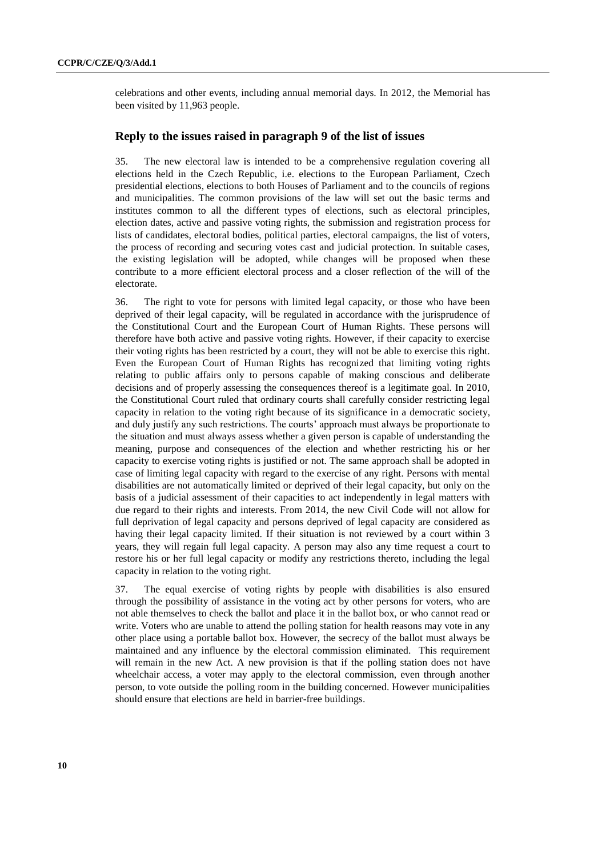celebrations and other events, including annual memorial days. In 2012, the Memorial has been visited by 11,963 people.

#### **Reply to the issues raised in paragraph 9 of the list of issues**

35. The new electoral law is intended to be a comprehensive regulation covering all elections held in the Czech Republic, i.e. elections to the European Parliament, Czech presidential elections, elections to both Houses of Parliament and to the councils of regions and municipalities. The common provisions of the law will set out the basic terms and institutes common to all the different types of elections, such as electoral principles, election dates, active and passive voting rights, the submission and registration process for lists of candidates, electoral bodies, political parties, electoral campaigns, the list of voters, the process of recording and securing votes cast and judicial protection. In suitable cases, the existing legislation will be adopted, while changes will be proposed when these contribute to a more efficient electoral process and a closer reflection of the will of the electorate.

36. The right to vote for persons with limited legal capacity, or those who have been deprived of their legal capacity, will be regulated in accordance with the jurisprudence of the Constitutional Court and the European Court of Human Rights. These persons will therefore have both active and passive voting rights. However, if their capacity to exercise their voting rights has been restricted by a court, they will not be able to exercise this right. Even the European Court of Human Rights has recognized that limiting voting rights relating to public affairs only to persons capable of making conscious and deliberate decisions and of properly assessing the consequences thereof is a legitimate goal. In 2010, the Constitutional Court ruled that ordinary courts shall carefully consider restricting legal capacity in relation to the voting right because of its significance in a democratic society, and duly justify any such restrictions. The courts' approach must always be proportionate to the situation and must always assess whether a given person is capable of understanding the meaning, purpose and consequences of the election and whether restricting his or her capacity to exercise voting rights is justified or not. The same approach shall be adopted in case of limiting legal capacity with regard to the exercise of any right. Persons with mental disabilities are not automatically limited or deprived of their legal capacity, but only on the basis of a judicial assessment of their capacities to act independently in legal matters with due regard to their rights and interests. From 2014, the new Civil Code will not allow for full deprivation of legal capacity and persons deprived of legal capacity are considered as having their legal capacity limited. If their situation is not reviewed by a court within 3 years, they will regain full legal capacity. A person may also any time request a court to restore his or her full legal capacity or modify any restrictions thereto, including the legal capacity in relation to the voting right.

37. The equal exercise of voting rights by people with disabilities is also ensured through the possibility of assistance in the voting act by other persons for voters, who are not able themselves to check the ballot and place it in the ballot box, or who cannot read or write. Voters who are unable to attend the polling station for health reasons may vote in any other place using a portable ballot box. However, the secrecy of the ballot must always be maintained and any influence by the electoral commission eliminated. This requirement will remain in the new Act. A new provision is that if the polling station does not have wheelchair access, a voter may apply to the electoral commission, even through another person, to vote outside the polling room in the building concerned. However municipalities should ensure that elections are held in barrier-free buildings.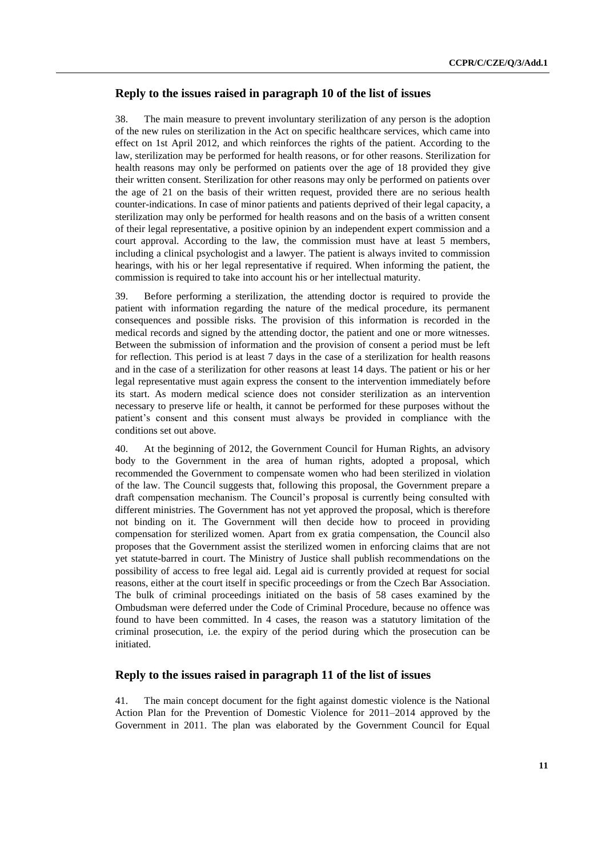# **Reply to the issues raised in paragraph 10 of the list of issues**

38. The main measure to prevent involuntary sterilization of any person is the adoption of the new rules on sterilization in the Act on specific healthcare services, which came into effect on 1st April 2012, and which reinforces the rights of the patient. According to the law, sterilization may be performed for health reasons, or for other reasons. Sterilization for health reasons may only be performed on patients over the age of 18 provided they give their written consent. Sterilization for other reasons may only be performed on patients over the age of 21 on the basis of their written request, provided there are no serious health counter-indications. In case of minor patients and patients deprived of their legal capacity, a sterilization may only be performed for health reasons and on the basis of a written consent of their legal representative, a positive opinion by an independent expert commission and a court approval. According to the law, the commission must have at least 5 members, including a clinical psychologist and a lawyer. The patient is always invited to commission hearings, with his or her legal representative if required. When informing the patient, the commission is required to take into account his or her intellectual maturity.

39. Before performing a sterilization, the attending doctor is required to provide the patient with information regarding the nature of the medical procedure, its permanent consequences and possible risks. The provision of this information is recorded in the medical records and signed by the attending doctor, the patient and one or more witnesses. Between the submission of information and the provision of consent a period must be left for reflection. This period is at least 7 days in the case of a sterilization for health reasons and in the case of a sterilization for other reasons at least 14 days. The patient or his or her legal representative must again express the consent to the intervention immediately before its start. As modern medical science does not consider sterilization as an intervention necessary to preserve life or health, it cannot be performed for these purposes without the patient's consent and this consent must always be provided in compliance with the conditions set out above.

40. At the beginning of 2012, the Government Council for Human Rights, an advisory body to the Government in the area of human rights, adopted a proposal, which recommended the Government to compensate women who had been sterilized in violation of the law. The Council suggests that, following this proposal, the Government prepare a draft compensation mechanism. The Council's proposal is currently being consulted with different ministries. The Government has not yet approved the proposal, which is therefore not binding on it. The Government will then decide how to proceed in providing compensation for sterilized women. Apart from ex gratia compensation, the Council also proposes that the Government assist the sterilized women in enforcing claims that are not yet statute-barred in court. The Ministry of Justice shall publish recommendations on the possibility of access to free legal aid. Legal aid is currently provided at request for social reasons, either at the court itself in specific proceedings or from the Czech Bar Association. The bulk of criminal proceedings initiated on the basis of 58 cases examined by the Ombudsman were deferred under the Code of Criminal Procedure, because no offence was found to have been committed. In 4 cases, the reason was a statutory limitation of the criminal prosecution, i.e. the expiry of the period during which the prosecution can be initiated.

# **Reply to the issues raised in paragraph 11 of the list of issues**

41. The main concept document for the fight against domestic violence is the National Action Plan for the Prevention of Domestic Violence for 2011–2014 approved by the Government in 2011. The plan was elaborated by the Government Council for Equal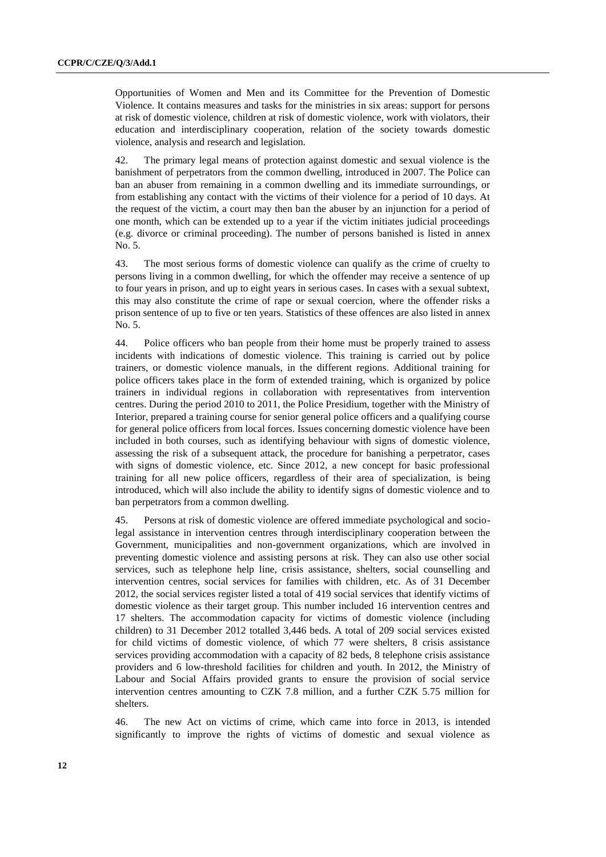Opportunities of Women and Men and its Committee for the Prevention of Domestic Violence. It contains measures and tasks for the ministries in six areas: support for persons at risk of domestic violence, children at risk of domestic violence, work with violators, their education and interdisciplinary cooperation, relation of the society towards domestic violence, analysis and research and legislation.

42. The primary legal means of protection against domestic and sexual violence is the banishment of perpetrators from the common dwelling, introduced in 2007. The Police can ban an abuser from remaining in a common dwelling and its immediate surroundings, or from establishing any contact with the victims of their violence for a period of 10 days. At the request of the victim, a court may then ban the abuser by an injunction for a period of one month, which can be extended up to a year if the victim initiates judicial proceedings (e.g. divorce or criminal proceeding). The number of persons banished is listed in annex No. 5.

43. The most serious forms of domestic violence can qualify as the crime of cruelty to persons living in a common dwelling, for which the offender may receive a sentence of up to four years in prison, and up to eight years in serious cases. In cases with a sexual subtext, this may also constitute the crime of rape or sexual coercion, where the offender risks a prison sentence of up to five or ten years. Statistics of these offences are also listed in annex No. 5.

44. Police officers who ban people from their home must be properly trained to assess incidents with indications of domestic violence. This training is carried out by police trainers, or domestic violence manuals, in the different regions. Additional training for police officers takes place in the form of extended training, which is organized by police trainers in individual regions in collaboration with representatives from intervention centres. During the period 2010 to 2011, the Police Presidium, together with the Ministry of Interior, prepared a training course for senior general police officers and a qualifying course for general police officers from local forces. Issues concerning domestic violence have been included in both courses, such as identifying behaviour with signs of domestic violence, assessing the risk of a subsequent attack, the procedure for banishing a perpetrator, cases with signs of domestic violence, etc. Since 2012, a new concept for basic professional training for all new police officers, regardless of their area of specialization, is being introduced, which will also include the ability to identify signs of domestic violence and to ban perpetrators from a common dwelling.

45. Persons at risk of domestic violence are offered immediate psychological and sociolegal assistance in intervention centres through interdisciplinary cooperation between the Government, municipalities and non-government organizations, which are involved in preventing domestic violence and assisting persons at risk. They can also use other social services, such as telephone help line, crisis assistance, shelters, social counselling and intervention centres, social services for families with children, etc. As of 31 December 2012, the social services register listed a total of 419 social services that identify victims of domestic violence as their target group. This number included 16 intervention centres and 17 shelters. The accommodation capacity for victims of domestic violence (including children) to 31 December 2012 totalled 3,446 beds. A total of 209 social services existed for child victims of domestic violence, of which 77 were shelters, 8 crisis assistance services providing accommodation with a capacity of 82 beds, 8 telephone crisis assistance providers and 6 low-threshold facilities for children and youth. In 2012, the Ministry of Labour and Social Affairs provided grants to ensure the provision of social service intervention centres amounting to CZK 7.8 million, and a further CZK 5.75 million for shelters.

46. The new Act on victims of crime, which came into force in 2013, is intended significantly to improve the rights of victims of domestic and sexual violence as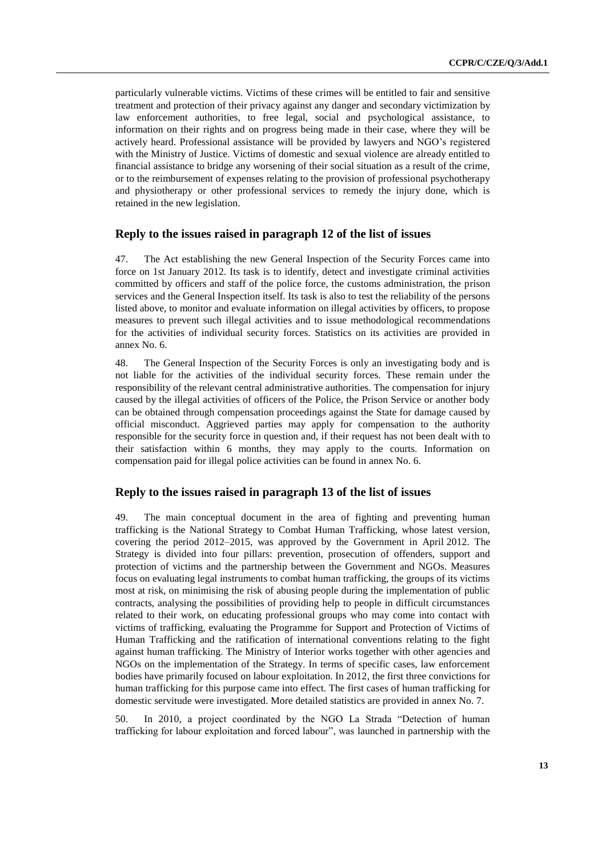particularly vulnerable victims. Victims of these crimes will be entitled to fair and sensitive treatment and protection of their privacy against any danger and secondary victimization by law enforcement authorities, to free legal, social and psychological assistance, to information on their rights and on progress being made in their case, where they will be actively heard. Professional assistance will be provided by lawyers and NGO's registered with the Ministry of Justice. Victims of domestic and sexual violence are already entitled to financial assistance to bridge any worsening of their social situation as a result of the crime, or to the reimbursement of expenses relating to the provision of professional psychotherapy and physiotherapy or other professional services to remedy the injury done, which is retained in the new legislation.

### **Reply to the issues raised in paragraph 12 of the list of issues**

47. The Act establishing the new General Inspection of the Security Forces came into force on 1st January 2012. Its task is to identify, detect and investigate criminal activities committed by officers and staff of the police force, the customs administration, the prison services and the General Inspection itself. Its task is also to test the reliability of the persons listed above, to monitor and evaluate information on illegal activities by officers, to propose measures to prevent such illegal activities and to issue methodological recommendations for the activities of individual security forces. Statistics on its activities are provided in annex No. 6.

48. The General Inspection of the Security Forces is only an investigating body and is not liable for the activities of the individual security forces. These remain under the responsibility of the relevant central administrative authorities. The compensation for injury caused by the illegal activities of officers of the Police, the Prison Service or another body can be obtained through compensation proceedings against the State for damage caused by official misconduct. Aggrieved parties may apply for compensation to the authority responsible for the security force in question and, if their request has not been dealt with to their satisfaction within 6 months, they may apply to the courts. Information on compensation paid for illegal police activities can be found in annex No. 6.

#### **Reply to the issues raised in paragraph 13 of the list of issues**

49. The main conceptual document in the area of fighting and preventing human trafficking is the National Strategy to Combat Human Trafficking, whose latest version, covering the period 2012–2015, was approved by the Government in April 2012. The Strategy is divided into four pillars: prevention, prosecution of offenders, support and protection of victims and the partnership between the Government and NGOs. Measures focus on evaluating legal instruments to combat human trafficking, the groups of its victims most at risk, on minimising the risk of abusing people during the implementation of public contracts, analysing the possibilities of providing help to people in difficult circumstances related to their work, on educating professional groups who may come into contact with victims of trafficking, evaluating the Programme for Support and Protection of Victims of Human Trafficking and the ratification of international conventions relating to the fight against human trafficking. The Ministry of Interior works together with other agencies and NGOs on the implementation of the Strategy. In terms of specific cases, law enforcement bodies have primarily focused on labour exploitation. In 2012, the first three convictions for human trafficking for this purpose came into effect. The first cases of human trafficking for domestic servitude were investigated. More detailed statistics are provided in annex No. 7.

50. In 2010, a project coordinated by the NGO La Strada "Detection of human trafficking for labour exploitation and forced labour", was launched in partnership with the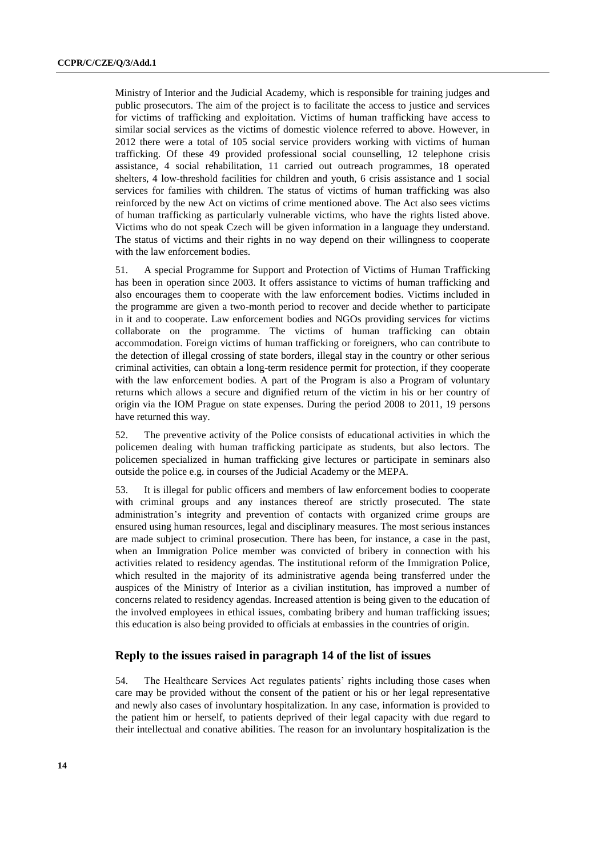Ministry of Interior and the Judicial Academy, which is responsible for training judges and public prosecutors. The aim of the project is to facilitate the access to justice and services for victims of trafficking and exploitation. Victims of human trafficking have access to similar social services as the victims of domestic violence referred to above. However, in 2012 there were a total of 105 social service providers working with victims of human trafficking. Of these 49 provided professional social counselling, 12 telephone crisis assistance, 4 social rehabilitation, 11 carried out outreach programmes, 18 operated shelters, 4 low-threshold facilities for children and youth, 6 crisis assistance and 1 social services for families with children. The status of victims of human trafficking was also reinforced by the new Act on victims of crime mentioned above. The Act also sees victims of human trafficking as particularly vulnerable victims, who have the rights listed above. Victims who do not speak Czech will be given information in a language they understand. The status of victims and their rights in no way depend on their willingness to cooperate with the law enforcement bodies.

51. A special Programme for Support and Protection of Victims of Human Trafficking has been in operation since 2003. It offers assistance to victims of human trafficking and also encourages them to cooperate with the law enforcement bodies. Victims included in the programme are given a two-month period to recover and decide whether to participate in it and to cooperate. Law enforcement bodies and NGOs providing services for victims collaborate on the programme. The victims of human trafficking can obtain accommodation. Foreign victims of human trafficking or foreigners, who can contribute to the detection of illegal crossing of state borders, illegal stay in the country or other serious criminal activities, can obtain a long-term residence permit for protection, if they cooperate with the law enforcement bodies. A part of the Program is also a Program of voluntary returns which allows a secure and dignified return of the victim in his or her country of origin via the IOM Prague on state expenses. During the period 2008 to 2011, 19 persons have returned this way.

52. The preventive activity of the Police consists of educational activities in which the policemen dealing with human trafficking participate as students, but also lectors. The policemen specialized in human trafficking give lectures or participate in seminars also outside the police e.g. in courses of the Judicial Academy or the MEPA.

53. It is illegal for public officers and members of law enforcement bodies to cooperate with criminal groups and any instances thereof are strictly prosecuted. The state administration's integrity and prevention of contacts with organized crime groups are ensured using human resources, legal and disciplinary measures. The most serious instances are made subject to criminal prosecution. There has been, for instance, a case in the past, when an Immigration Police member was convicted of bribery in connection with his activities related to residency agendas. The institutional reform of the Immigration Police, which resulted in the majority of its administrative agenda being transferred under the auspices of the Ministry of Interior as a civilian institution, has improved a number of concerns related to residency agendas. Increased attention is being given to the education of the involved employees in ethical issues, combating bribery and human trafficking issues; this education is also being provided to officials at embassies in the countries of origin.

## **Reply to the issues raised in paragraph 14 of the list of issues**

54. The Healthcare Services Act regulates patients' rights including those cases when care may be provided without the consent of the patient or his or her legal representative and newly also cases of involuntary hospitalization. In any case, information is provided to the patient him or herself, to patients deprived of their legal capacity with due regard to their intellectual and conative abilities. The reason for an involuntary hospitalization is the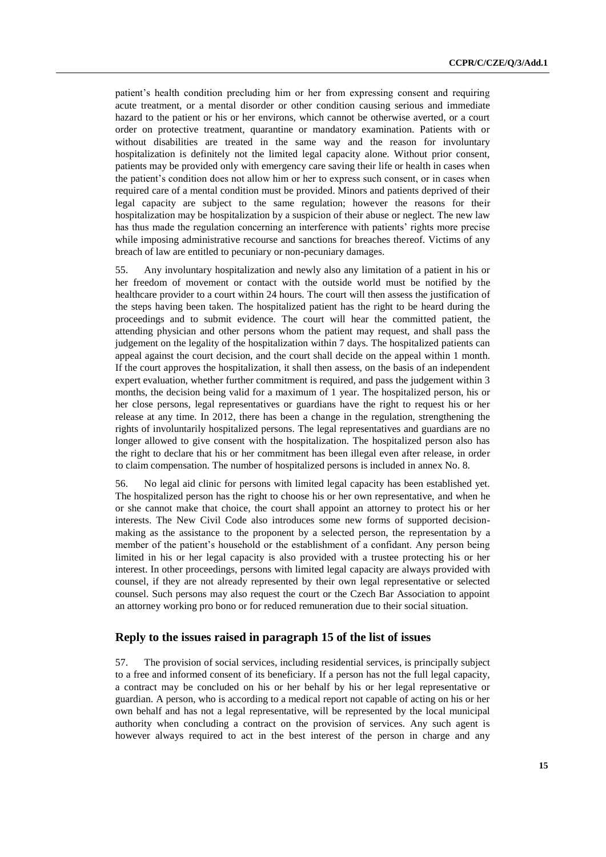patient's health condition precluding him or her from expressing consent and requiring acute treatment, or a mental disorder or other condition causing serious and immediate hazard to the patient or his or her environs, which cannot be otherwise averted, or a court order on protective treatment, quarantine or mandatory examination. Patients with or without disabilities are treated in the same way and the reason for involuntary hospitalization is definitely not the limited legal capacity alone. Without prior consent, patients may be provided only with emergency care saving their life or health in cases when the patient's condition does not allow him or her to express such consent, or in cases when required care of a mental condition must be provided. Minors and patients deprived of their legal capacity are subject to the same regulation; however the reasons for their hospitalization may be hospitalization by a suspicion of their abuse or neglect. The new law has thus made the regulation concerning an interference with patients' rights more precise while imposing administrative recourse and sanctions for breaches thereof. Victims of any breach of law are entitled to pecuniary or non-pecuniary damages.

55. Any involuntary hospitalization and newly also any limitation of a patient in his or her freedom of movement or contact with the outside world must be notified by the healthcare provider to a court within 24 hours. The court will then assess the justification of the steps having been taken. The hospitalized patient has the right to be heard during the proceedings and to submit evidence. The court will hear the committed patient, the attending physician and other persons whom the patient may request, and shall pass the judgement on the legality of the hospitalization within 7 days. The hospitalized patients can appeal against the court decision, and the court shall decide on the appeal within 1 month. If the court approves the hospitalization, it shall then assess, on the basis of an independent expert evaluation, whether further commitment is required, and pass the judgement within 3 months, the decision being valid for a maximum of 1 year. The hospitalized person, his or her close persons, legal representatives or guardians have the right to request his or her release at any time. In 2012, there has been a change in the regulation, strengthening the rights of involuntarily hospitalized persons. The legal representatives and guardians are no longer allowed to give consent with the hospitalization. The hospitalized person also has the right to declare that his or her commitment has been illegal even after release, in order to claim compensation. The number of hospitalized persons is included in annex No. 8.

56. No legal aid clinic for persons with limited legal capacity has been established yet. The hospitalized person has the right to choose his or her own representative, and when he or she cannot make that choice, the court shall appoint an attorney to protect his or her interests. The New Civil Code also introduces some new forms of supported decisionmaking as the assistance to the proponent by a selected person, the representation by a member of the patient's household or the establishment of a confidant. Any person being limited in his or her legal capacity is also provided with a trustee protecting his or her interest. In other proceedings, persons with limited legal capacity are always provided with counsel, if they are not already represented by their own legal representative or selected counsel. Such persons may also request the court or the Czech Bar Association to appoint an attorney working pro bono or for reduced remuneration due to their social situation.

### **Reply to the issues raised in paragraph 15 of the list of issues**

57. The provision of social services, including residential services, is principally subject to a free and informed consent of its beneficiary. If a person has not the full legal capacity, a contract may be concluded on his or her behalf by his or her legal representative or guardian. A person, who is according to a medical report not capable of acting on his or her own behalf and has not a legal representative, will be represented by the local municipal authority when concluding a contract on the provision of services. Any such agent is however always required to act in the best interest of the person in charge and any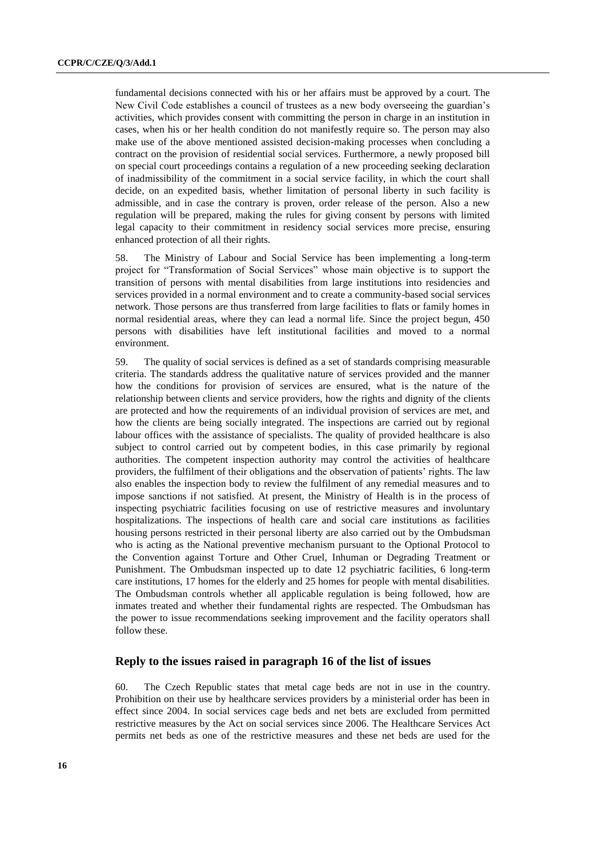fundamental decisions connected with his or her affairs must be approved by a court. The New Civil Code establishes a council of trustees as a new body overseeing the guardian's activities, which provides consent with committing the person in charge in an institution in cases, when his or her health condition do not manifestly require so. The person may also make use of the above mentioned assisted decision-making processes when concluding a contract on the provision of residential social services. Furthermore, a newly proposed bill on special court proceedings contains a regulation of a new proceeding seeking declaration of inadmissibility of the commitment in a social service facility, in which the court shall decide, on an expedited basis, whether limitation of personal liberty in such facility is admissible, and in case the contrary is proven, order release of the person. Also a new regulation will be prepared, making the rules for giving consent by persons with limited legal capacity to their commitment in residency social services more precise, ensuring enhanced protection of all their rights.

58. The Ministry of Labour and Social Service has been implementing a long-term project for "Transformation of Social Services" whose main objective is to support the transition of persons with mental disabilities from large institutions into residencies and services provided in a normal environment and to create a community-based social services network. Those persons are thus transferred from large facilities to flats or family homes in normal residential areas, where they can lead a normal life. Since the project begun, 450 persons with disabilities have left institutional facilities and moved to a normal environment.

59. The quality of social services is defined as a set of standards comprising measurable criteria. The standards address the qualitative nature of services provided and the manner how the conditions for provision of services are ensured, what is the nature of the relationship between clients and service providers, how the rights and dignity of the clients are protected and how the requirements of an individual provision of services are met, and how the clients are being socially integrated. The inspections are carried out by regional labour offices with the assistance of specialists. The quality of provided healthcare is also subject to control carried out by competent bodies, in this case primarily by regional authorities. The competent inspection authority may control the activities of healthcare providers, the fulfilment of their obligations and the observation of patients' rights. The law also enables the inspection body to review the fulfilment of any remedial measures and to impose sanctions if not satisfied. At present, the Ministry of Health is in the process of inspecting psychiatric facilities focusing on use of restrictive measures and involuntary hospitalizations. The inspections of health care and social care institutions as facilities housing persons restricted in their personal liberty are also carried out by the Ombudsman who is acting as the National preventive mechanism pursuant to the Optional Protocol to the Convention against Torture and Other Cruel, Inhuman or Degrading Treatment or Punishment. The Ombudsman inspected up to date 12 psychiatric facilities, 6 long-term care institutions, 17 homes for the elderly and 25 homes for people with mental disabilities. The Ombudsman controls whether all applicable regulation is being followed, how are inmates treated and whether their fundamental rights are respected. The Ombudsman has the power to issue recommendations seeking improvement and the facility operators shall follow these.

## **Reply to the issues raised in paragraph 16 of the list of issues**

60. The Czech Republic states that metal cage beds are not in use in the country. Prohibition on their use by healthcare services providers by a ministerial order has been in effect since 2004. In social services cage beds and net bets are excluded from permitted restrictive measures by the Act on social services since 2006. The Healthcare Services Act permits net beds as one of the restrictive measures and these net beds are used for the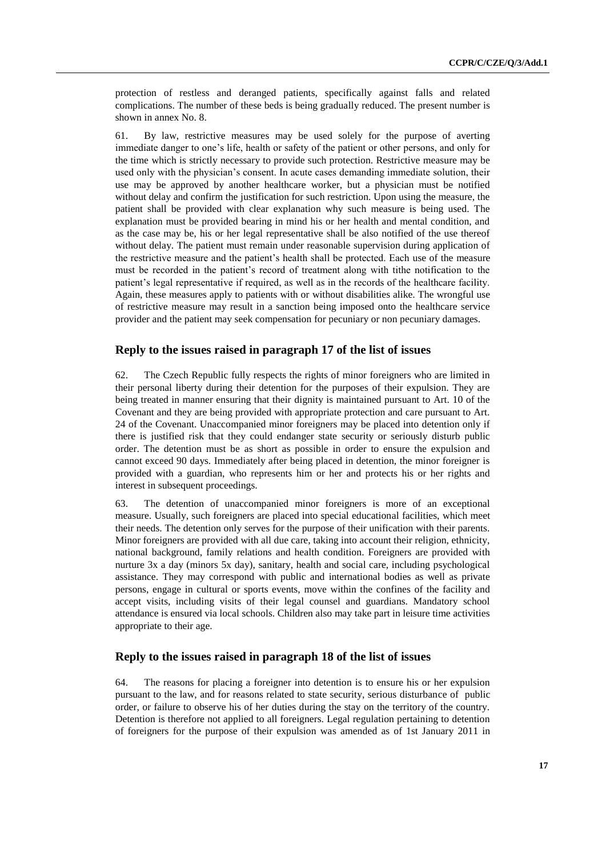protection of restless and deranged patients, specifically against falls and related complications. The number of these beds is being gradually reduced. The present number is shown in annex No. 8.

61. By law, restrictive measures may be used solely for the purpose of averting immediate danger to one's life, health or safety of the patient or other persons, and only for the time which is strictly necessary to provide such protection. Restrictive measure may be used only with the physician's consent. In acute cases demanding immediate solution, their use may be approved by another healthcare worker, but a physician must be notified without delay and confirm the justification for such restriction. Upon using the measure, the patient shall be provided with clear explanation why such measure is being used. The explanation must be provided bearing in mind his or her health and mental condition, and as the case may be, his or her legal representative shall be also notified of the use thereof without delay. The patient must remain under reasonable supervision during application of the restrictive measure and the patient's health shall be protected. Each use of the measure must be recorded in the patient's record of treatment along with tithe notification to the patient's legal representative if required, as well as in the records of the healthcare facility. Again, these measures apply to patients with or without disabilities alike. The wrongful use of restrictive measure may result in a sanction being imposed onto the healthcare service provider and the patient may seek compensation for pecuniary or non pecuniary damages.

## **Reply to the issues raised in paragraph 17 of the list of issues**

62. The Czech Republic fully respects the rights of minor foreigners who are limited in their personal liberty during their detention for the purposes of their expulsion. They are being treated in manner ensuring that their dignity is maintained pursuant to Art. 10 of the Covenant and they are being provided with appropriate protection and care pursuant to Art. 24 of the Covenant. Unaccompanied minor foreigners may be placed into detention only if there is justified risk that they could endanger state security or seriously disturb public order. The detention must be as short as possible in order to ensure the expulsion and cannot exceed 90 days. Immediately after being placed in detention, the minor foreigner is provided with a guardian, who represents him or her and protects his or her rights and interest in subsequent proceedings.

63. The detention of unaccompanied minor foreigners is more of an exceptional measure. Usually, such foreigners are placed into special educational facilities, which meet their needs. The detention only serves for the purpose of their unification with their parents. Minor foreigners are provided with all due care, taking into account their religion, ethnicity, national background, family relations and health condition. Foreigners are provided with nurture 3x a day (minors 5x day), sanitary, health and social care, including psychological assistance. They may correspond with public and international bodies as well as private persons, engage in cultural or sports events, move within the confines of the facility and accept visits, including visits of their legal counsel and guardians. Mandatory school attendance is ensured via local schools. Children also may take part in leisure time activities appropriate to their age.

#### **Reply to the issues raised in paragraph 18 of the list of issues**

64. The reasons for placing a foreigner into detention is to ensure his or her expulsion pursuant to the law, and for reasons related to state security, serious disturbance of public order, or failure to observe his of her duties during the stay on the territory of the country. Detention is therefore not applied to all foreigners. Legal regulation pertaining to detention of foreigners for the purpose of their expulsion was amended as of 1st January 2011 in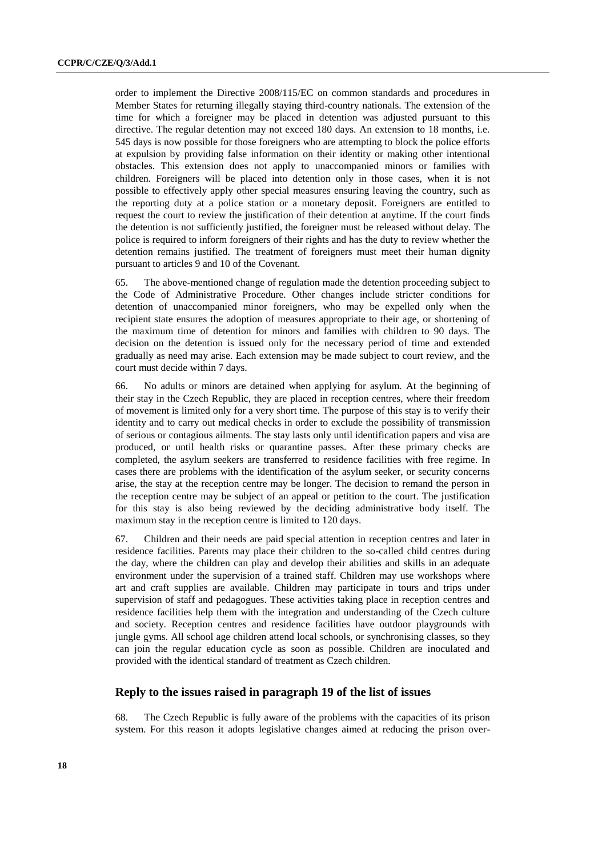order to implement the Directive 2008/115/EC on common standards and procedures in Member States for returning illegally staying third-country nationals. The extension of the time for which a foreigner may be placed in detention was adjusted pursuant to this directive. The regular detention may not exceed 180 days. An extension to 18 months, i.e. 545 days is now possible for those foreigners who are attempting to block the police efforts at expulsion by providing false information on their identity or making other intentional obstacles. This extension does not apply to unaccompanied minors or families with children. Foreigners will be placed into detention only in those cases, when it is not possible to effectively apply other special measures ensuring leaving the country, such as the reporting duty at a police station or a monetary deposit. Foreigners are entitled to request the court to review the justification of their detention at anytime. If the court finds the detention is not sufficiently justified, the foreigner must be released without delay. The police is required to inform foreigners of their rights and has the duty to review whether the detention remains justified. The treatment of foreigners must meet their human dignity pursuant to articles 9 and 10 of the Covenant.

65. The above-mentioned change of regulation made the detention proceeding subject to the Code of Administrative Procedure. Other changes include stricter conditions for detention of unaccompanied minor foreigners, who may be expelled only when the recipient state ensures the adoption of measures appropriate to their age, or shortening of the maximum time of detention for minors and families with children to 90 days. The decision on the detention is issued only for the necessary period of time and extended gradually as need may arise. Each extension may be made subject to court review, and the court must decide within 7 days.

66. No adults or minors are detained when applying for asylum. At the beginning of their stay in the Czech Republic, they are placed in reception centres, where their freedom of movement is limited only for a very short time. The purpose of this stay is to verify their identity and to carry out medical checks in order to exclude the possibility of transmission of serious or contagious ailments. The stay lasts only until identification papers and visa are produced, or until health risks or quarantine passes. After these primary checks are completed, the asylum seekers are transferred to residence facilities with free regime. In cases there are problems with the identification of the asylum seeker, or security concerns arise, the stay at the reception centre may be longer. The decision to remand the person in the reception centre may be subject of an appeal or petition to the court. The justification for this stay is also being reviewed by the deciding administrative body itself. The maximum stay in the reception centre is limited to 120 days.

67. Children and their needs are paid special attention in reception centres and later in residence facilities. Parents may place their children to the so-called child centres during the day, where the children can play and develop their abilities and skills in an adequate environment under the supervision of a trained staff. Children may use workshops where art and craft supplies are available. Children may participate in tours and trips under supervision of staff and pedagogues. These activities taking place in reception centres and residence facilities help them with the integration and understanding of the Czech culture and society. Reception centres and residence facilities have outdoor playgrounds with jungle gyms. All school age children attend local schools, or synchronising classes, so they can join the regular education cycle as soon as possible. Children are inoculated and provided with the identical standard of treatment as Czech children.

## **Reply to the issues raised in paragraph 19 of the list of issues**

68. The Czech Republic is fully aware of the problems with the capacities of its prison system. For this reason it adopts legislative changes aimed at reducing the prison over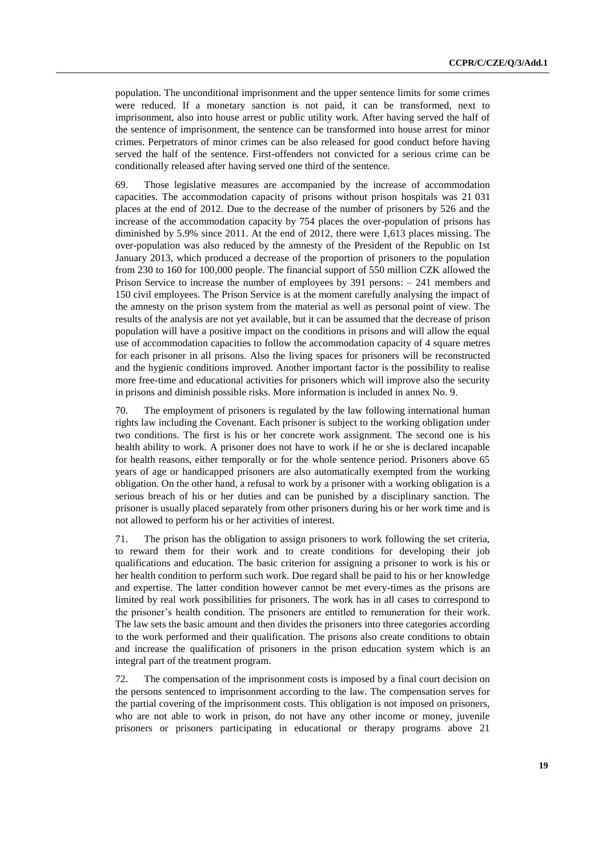population. The unconditional imprisonment and the upper sentence limits for some crimes were reduced. If a monetary sanction is not paid, it can be transformed, next to imprisonment, also into house arrest or public utility work. After having served the half of the sentence of imprisonment, the sentence can be transformed into house arrest for minor crimes. Perpetrators of minor crimes can be also released for good conduct before having served the half of the sentence. First-offenders not convicted for a serious crime can be conditionally released after having served one third of the sentence.

69. Those legislative measures are accompanied by the increase of accommodation capacities. The accommodation capacity of prisons without prison hospitals was 21 031 places at the end of 2012. Due to the decrease of the number of prisoners by 526 and the increase of the accommodation capacity by 754 places the over-population of prisons has diminished by 5.9% since 2011. At the end of 2012, there were 1,613 places missing. The over-population was also reduced by the amnesty of the President of the Republic on 1st January 2013, which produced a decrease of the proportion of prisoners to the population from 230 to 160 for 100,000 people. The financial support of 550 million CZK allowed the Prison Service to increase the number of employees by 391 persons: – 241 members and 150 civil employees. The Prison Service is at the moment carefully analysing the impact of the amnesty on the prison system from the material as well as personal point of view. The results of the analysis are not yet available, but it can be assumed that the decrease of prison population will have a positive impact on the conditions in prisons and will allow the equal use of accommodation capacities to follow the accommodation capacity of 4 square metres for each prisoner in all prisons. Also the living spaces for prisoners will be reconstructed and the hygienic conditions improved. Another important factor is the possibility to realise more free-time and educational activities for prisoners which will improve also the security in prisons and diminish possible risks. More information is included in annex No. 9.

70. The employment of prisoners is regulated by the law following international human rights law including the Covenant. Each prisoner is subject to the working obligation under two conditions. The first is his or her concrete work assignment. The second one is his health ability to work. A prisoner does not have to work if he or she is declared incapable for health reasons, either temporally or for the whole sentence period. Prisoners above 65 years of age or handicapped prisoners are also automatically exempted from the working obligation. On the other hand, a refusal to work by a prisoner with a working obligation is a serious breach of his or her duties and can be punished by a disciplinary sanction. The prisoner is usually placed separately from other prisoners during his or her work time and is not allowed to perform his or her activities of interest.

71. The prison has the obligation to assign prisoners to work following the set criteria, to reward them for their work and to create conditions for developing their job qualifications and education. The basic criterion for assigning a prisoner to work is his or her health condition to perform such work. Due regard shall be paid to his or her knowledge and expertise. The latter condition however cannot be met every-times as the prisons are limited by real work possibilities for prisoners. The work has in all cases to correspond to the prisoner's health condition. The prisoners are entitled to remuneration for their work. The law sets the basic amount and then divides the prisoners into three categories according to the work performed and their qualification. The prisons also create conditions to obtain and increase the qualification of prisoners in the prison education system which is an integral part of the treatment program.

72. The compensation of the imprisonment costs is imposed by a final court decision on the persons sentenced to imprisonment according to the law. The compensation serves for the partial covering of the imprisonment costs. This obligation is not imposed on prisoners, who are not able to work in prison, do not have any other income or money, juvenile prisoners or prisoners participating in educational or therapy programs above 21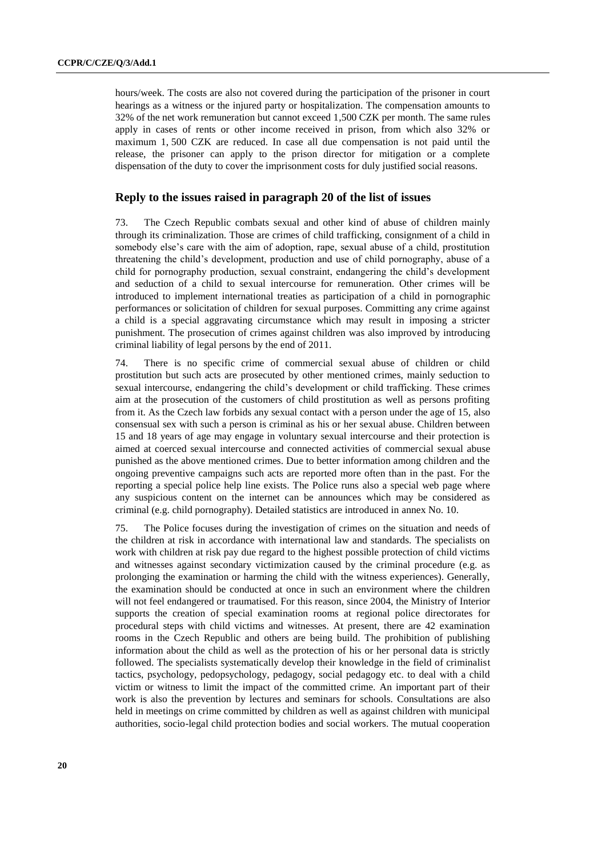hours/week. The costs are also not covered during the participation of the prisoner in court hearings as a witness or the injured party or hospitalization. The compensation amounts to 32% of the net work remuneration but cannot exceed 1,500 CZK per month. The same rules apply in cases of rents or other income received in prison, from which also 32% or maximum 1, 500 CZK are reduced. In case all due compensation is not paid until the release, the prisoner can apply to the prison director for mitigation or a complete dispensation of the duty to cover the imprisonment costs for duly justified social reasons.

## **Reply to the issues raised in paragraph 20 of the list of issues**

73. The Czech Republic combats sexual and other kind of abuse of children mainly through its criminalization. Those are crimes of child trafficking, consignment of a child in somebody else's care with the aim of adoption, rape, sexual abuse of a child, prostitution threatening the child's development, production and use of child pornography, abuse of a child for pornography production, sexual constraint, endangering the child's development and seduction of a child to sexual intercourse for remuneration. Other crimes will be introduced to implement international treaties as participation of a child in pornographic performances or solicitation of children for sexual purposes. Committing any crime against a child is a special aggravating circumstance which may result in imposing a stricter punishment. The prosecution of crimes against children was also improved by introducing criminal liability of legal persons by the end of 2011.

74. There is no specific crime of commercial sexual abuse of children or child prostitution but such acts are prosecuted by other mentioned crimes, mainly seduction to sexual intercourse, endangering the child's development or child trafficking. These crimes aim at the prosecution of the customers of child prostitution as well as persons profiting from it. As the Czech law forbids any sexual contact with a person under the age of 15, also consensual sex with such a person is criminal as his or her sexual abuse. Children between 15 and 18 years of age may engage in voluntary sexual intercourse and their protection is aimed at coerced sexual intercourse and connected activities of commercial sexual abuse punished as the above mentioned crimes. Due to better information among children and the ongoing preventive campaigns such acts are reported more often than in the past. For the reporting a special police help line exists. The Police runs also a special web page where any suspicious content on the internet can be announces which may be considered as criminal (e.g. child pornography). Detailed statistics are introduced in annex No. 10.

75. The Police focuses during the investigation of crimes on the situation and needs of the children at risk in accordance with international law and standards. The specialists on work with children at risk pay due regard to the highest possible protection of child victims and witnesses against secondary victimization caused by the criminal procedure (e.g. as prolonging the examination or harming the child with the witness experiences). Generally, the examination should be conducted at once in such an environment where the children will not feel endangered or traumatised. For this reason, since 2004, the Ministry of Interior supports the creation of special examination rooms at regional police directorates for procedural steps with child victims and witnesses. At present, there are 42 examination rooms in the Czech Republic and others are being build. The prohibition of publishing information about the child as well as the protection of his or her personal data is strictly followed. The specialists systematically develop their knowledge in the field of criminalist tactics, psychology, pedopsychology, pedagogy, social pedagogy etc. to deal with a child victim or witness to limit the impact of the committed crime. An important part of their work is also the prevention by lectures and seminars for schools. Consultations are also held in meetings on crime committed by children as well as against children with municipal authorities, socio-legal child protection bodies and social workers. The mutual cooperation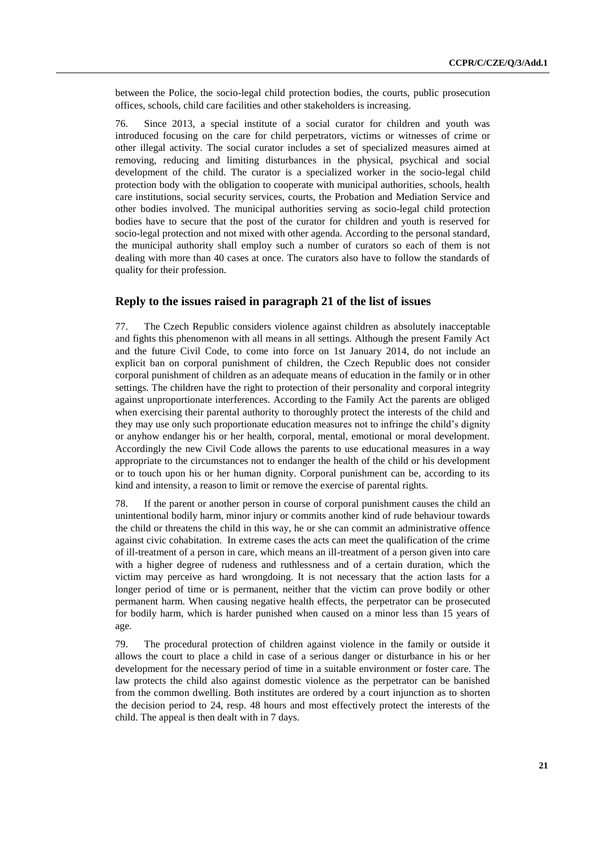between the Police, the socio-legal child protection bodies, the courts, public prosecution offices, schools, child care facilities and other stakeholders is increasing.

76. Since 2013, a special institute of a social curator for children and youth was introduced focusing on the care for child perpetrators, victims or witnesses of crime or other illegal activity. The social curator includes a set of specialized measures aimed at removing, reducing and limiting disturbances in the physical, psychical and social development of the child. The curator is a specialized worker in the socio-legal child protection body with the obligation to cooperate with municipal authorities, schools, health care institutions, social security services, courts, the Probation and Mediation Service and other bodies involved. The municipal authorities serving as socio-legal child protection bodies have to secure that the post of the curator for children and youth is reserved for socio-legal protection and not mixed with other agenda. According to the personal standard, the municipal authority shall employ such a number of curators so each of them is not dealing with more than 40 cases at once. The curators also have to follow the standards of quality for their profession.

### **Reply to the issues raised in paragraph 21 of the list of issues**

77. The Czech Republic considers violence against children as absolutely inacceptable and fights this phenomenon with all means in all settings. Although the present Family Act and the future Civil Code, to come into force on 1st January 2014, do not include an explicit ban on corporal punishment of children, the Czech Republic does not consider corporal punishment of children as an adequate means of education in the family or in other settings. The children have the right to protection of their personality and corporal integrity against unproportionate interferences. According to the Family Act the parents are obliged when exercising their parental authority to thoroughly protect the interests of the child and they may use only such proportionate education measures not to infringe the child's dignity or anyhow endanger his or her health, corporal, mental, emotional or moral development. Accordingly the new Civil Code allows the parents to use educational measures in a way appropriate to the circumstances not to endanger the health of the child or his development or to touch upon his or her human dignity. Corporal punishment can be, according to its kind and intensity, a reason to limit or remove the exercise of parental rights.

78. If the parent or another person in course of corporal punishment causes the child an unintentional bodily harm, minor injury or commits another kind of rude behaviour towards the child or threatens the child in this way, he or she can commit an administrative offence against civic cohabitation. In extreme cases the acts can meet the qualification of the crime of ill-treatment of a person in care, which means an ill-treatment of a person given into care with a higher degree of rudeness and ruthlessness and of a certain duration, which the victim may perceive as hard wrongdoing. It is not necessary that the action lasts for a longer period of time or is permanent, neither that the victim can prove bodily or other permanent harm. When causing negative health effects, the perpetrator can be prosecuted for bodily harm, which is harder punished when caused on a minor less than 15 years of age.

79. The procedural protection of children against violence in the family or outside it allows the court to place a child in case of a serious danger or disturbance in his or her development for the necessary period of time in a suitable environment or foster care. The law protects the child also against domestic violence as the perpetrator can be banished from the common dwelling. Both institutes are ordered by a court injunction as to shorten the decision period to 24, resp. 48 hours and most effectively protect the interests of the child. The appeal is then dealt with in 7 days.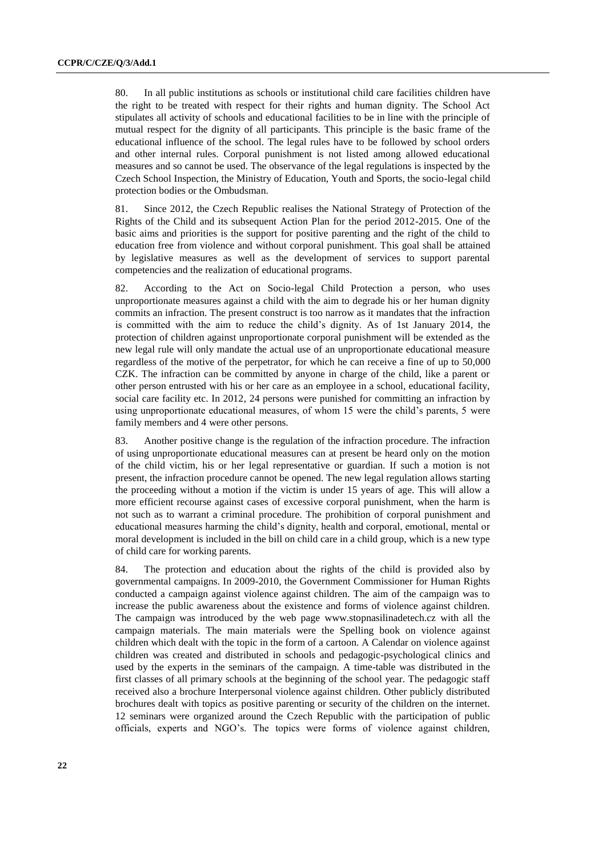80. In all public institutions as schools or institutional child care facilities children have the right to be treated with respect for their rights and human dignity. The School Act stipulates all activity of schools and educational facilities to be in line with the principle of mutual respect for the dignity of all participants. This principle is the basic frame of the educational influence of the school. The legal rules have to be followed by school orders and other internal rules. Corporal punishment is not listed among allowed educational measures and so cannot be used. The observance of the legal regulations is inspected by the Czech School Inspection, the Ministry of Education, Youth and Sports, the socio-legal child protection bodies or the Ombudsman.

81. Since 2012, the Czech Republic realises the National Strategy of Protection of the Rights of the Child and its subsequent Action Plan for the period 2012-2015. One of the basic aims and priorities is the support for positive parenting and the right of the child to education free from violence and without corporal punishment. This goal shall be attained by legislative measures as well as the development of services to support parental competencies and the realization of educational programs.

82. According to the Act on Socio-legal Child Protection a person, who uses unproportionate measures against a child with the aim to degrade his or her human dignity commits an infraction. The present construct is too narrow as it mandates that the infraction is committed with the aim to reduce the child's dignity. As of 1st January 2014, the protection of children against unproportionate corporal punishment will be extended as the new legal rule will only mandate the actual use of an unproportionate educational measure regardless of the motive of the perpetrator, for which he can receive a fine of up to 50,000 CZK. The infraction can be committed by anyone in charge of the child, like a parent or other person entrusted with his or her care as an employee in a school, educational facility, social care facility etc. In 2012, 24 persons were punished for committing an infraction by using unproportionate educational measures, of whom 15 were the child's parents, 5 were family members and 4 were other persons.

83. Another positive change is the regulation of the infraction procedure. The infraction of using unproportionate educational measures can at present be heard only on the motion of the child victim, his or her legal representative or guardian. If such a motion is not present, the infraction procedure cannot be opened. The new legal regulation allows starting the proceeding without a motion if the victim is under 15 years of age. This will allow a more efficient recourse against cases of excessive corporal punishment, when the harm is not such as to warrant a criminal procedure. The prohibition of corporal punishment and educational measures harming the child's dignity, health and corporal, emotional, mental or moral development is included in the bill on child care in a child group, which is a new type of child care for working parents.

84. The protection and education about the rights of the child is provided also by governmental campaigns. In 2009-2010, the Government Commissioner for Human Rights conducted a campaign against violence against children. The aim of the campaign was to increase the public awareness about the existence and forms of violence against children. The campaign was introduced by the web page [www.stopnasilinadetech.cz](http://www.stopnasilinadetech.cz/) with all the campaign materials. The main materials were the Spelling book on violence against children which dealt with the topic in the form of a cartoon. A Calendar on violence against children was created and distributed in schools and pedagogic-psychological clinics and used by the experts in the seminars of the campaign. A time-table was distributed in the first classes of all primary schools at the beginning of the school year. The pedagogic staff received also a brochure Interpersonal violence against children. Other publicly distributed brochures dealt with topics as positive parenting or security of the children on the internet. 12 seminars were organized around the Czech Republic with the participation of public officials, experts and NGO's. The topics were forms of violence against children,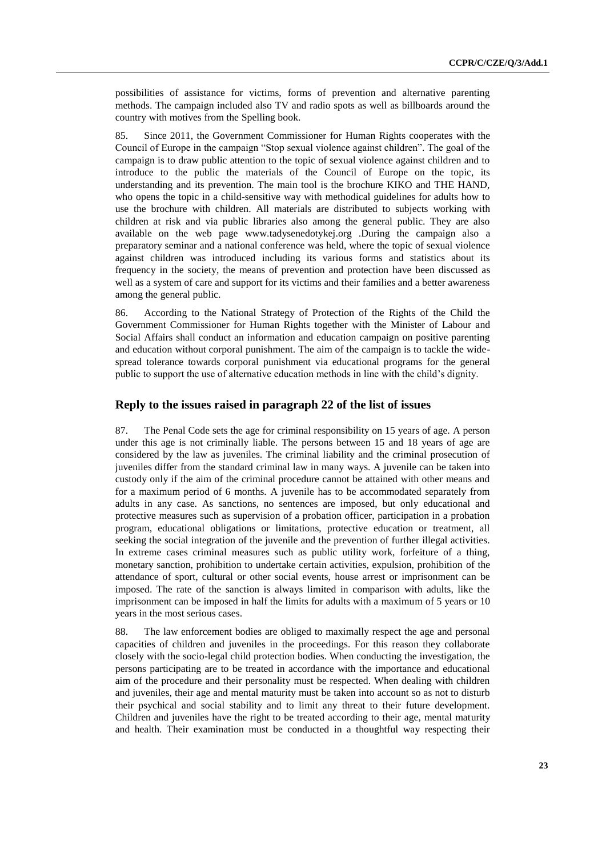possibilities of assistance for victims, forms of prevention and alternative parenting methods. The campaign included also TV and radio spots as well as billboards around the country with motives from the Spelling book.

85. Since 2011, the Government Commissioner for Human Rights cooperates with the Council of Europe in the campaign "Stop sexual violence against children". The goal of the campaign is to draw public attention to the topic of sexual violence against children and to introduce to the public the materials of the Council of Europe on the topic, its understanding and its prevention. The main tool is the brochure KIKO and THE HAND, who opens the topic in a child-sensitive way with methodical guidelines for adults how to use the brochure with children. All materials are distributed to subjects working with children at risk and via public libraries also among the general public. They are also available on the web page [www.tadysenedotykej.org](http://www.tadysenedotykej.org/) .During the campaign also a preparatory seminar and a national conference was held, where the topic of sexual violence against children was introduced including its various forms and statistics about its frequency in the society, the means of prevention and protection have been discussed as well as a system of care and support for its victims and their families and a better awareness among the general public.

86. According to the National Strategy of Protection of the Rights of the Child the Government Commissioner for Human Rights together with the Minister of Labour and Social Affairs shall conduct an information and education campaign on positive parenting and education without corporal punishment. The aim of the campaign is to tackle the widespread tolerance towards corporal punishment via educational programs for the general public to support the use of alternative education methods in line with the child's dignity.

#### **Reply to the issues raised in paragraph 22 of the list of issues**

87. The Penal Code sets the age for criminal responsibility on 15 years of age. A person under this age is not criminally liable. The persons between 15 and 18 years of age are considered by the law as juveniles. The criminal liability and the criminal prosecution of juveniles differ from the standard criminal law in many ways. A juvenile can be taken into custody only if the aim of the criminal procedure cannot be attained with other means and for a maximum period of 6 months. A juvenile has to be accommodated separately from adults in any case. As sanctions, no sentences are imposed, but only educational and protective measures such as supervision of a probation officer, participation in a probation program, educational obligations or limitations, protective education or treatment, all seeking the social integration of the juvenile and the prevention of further illegal activities. In extreme cases criminal measures such as public utility work, forfeiture of a thing, monetary sanction, prohibition to undertake certain activities, expulsion, prohibition of the attendance of sport, cultural or other social events, house arrest or imprisonment can be imposed. The rate of the sanction is always limited in comparison with adults, like the imprisonment can be imposed in half the limits for adults with a maximum of 5 years or 10 years in the most serious cases.

88. The law enforcement bodies are obliged to maximally respect the age and personal capacities of children and juveniles in the proceedings. For this reason they collaborate closely with the socio-legal child protection bodies. When conducting the investigation, the persons participating are to be treated in accordance with the importance and educational aim of the procedure and their personality must be respected. When dealing with children and juveniles, their age and mental maturity must be taken into account so as not to disturb their psychical and social stability and to limit any threat to their future development. Children and juveniles have the right to be treated according to their age, mental maturity and health. Their examination must be conducted in a thoughtful way respecting their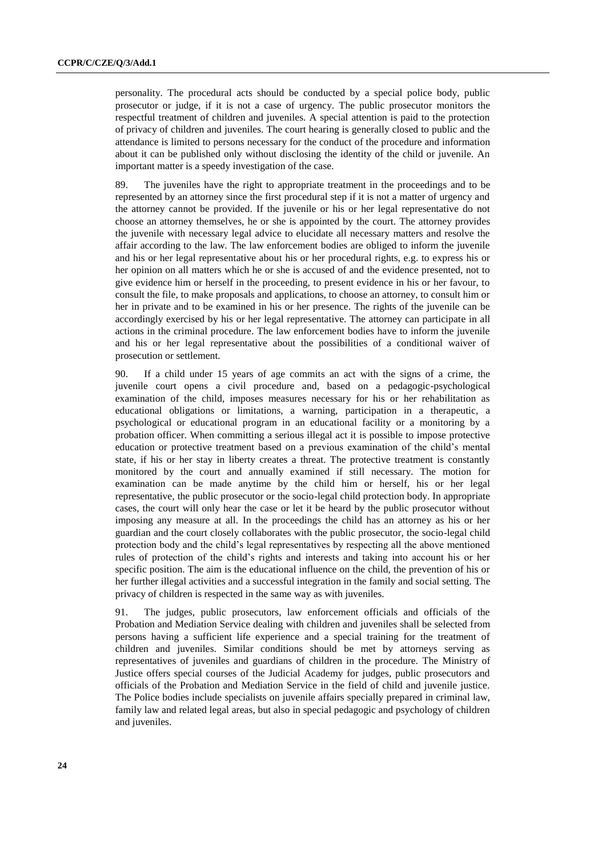personality. The procedural acts should be conducted by a special police body, public prosecutor or judge, if it is not a case of urgency. The public prosecutor monitors the respectful treatment of children and juveniles. A special attention is paid to the protection of privacy of children and juveniles. The court hearing is generally closed to public and the attendance is limited to persons necessary for the conduct of the procedure and information about it can be published only without disclosing the identity of the child or juvenile. An important matter is a speedy investigation of the case.

89. The juveniles have the right to appropriate treatment in the proceedings and to be represented by an attorney since the first procedural step if it is not a matter of urgency and the attorney cannot be provided. If the juvenile or his or her legal representative do not choose an attorney themselves, he or she is appointed by the court. The attorney provides the juvenile with necessary legal advice to elucidate all necessary matters and resolve the affair according to the law. The law enforcement bodies are obliged to inform the juvenile and his or her legal representative about his or her procedural rights, e.g. to express his or her opinion on all matters which he or she is accused of and the evidence presented, not to give evidence him or herself in the proceeding, to present evidence in his or her favour, to consult the file, to make proposals and applications, to choose an attorney, to consult him or her in private and to be examined in his or her presence. The rights of the juvenile can be accordingly exercised by his or her legal representative. The attorney can participate in all actions in the criminal procedure. The law enforcement bodies have to inform the juvenile and his or her legal representative about the possibilities of a conditional waiver of prosecution or settlement.

90. If a child under 15 years of age commits an act with the signs of a crime, the juvenile court opens a civil procedure and, based on a pedagogic-psychological examination of the child, imposes measures necessary for his or her rehabilitation as educational obligations or limitations, a warning, participation in a therapeutic, a psychological or educational program in an educational facility or a monitoring by a probation officer. When committing a serious illegal act it is possible to impose protective education or protective treatment based on a previous examination of the child's mental state, if his or her stay in liberty creates a threat. The protective treatment is constantly monitored by the court and annually examined if still necessary. The motion for examination can be made anytime by the child him or herself, his or her legal representative, the public prosecutor or the socio-legal child protection body. In appropriate cases, the court will only hear the case or let it be heard by the public prosecutor without imposing any measure at all. In the proceedings the child has an attorney as his or her guardian and the court closely collaborates with the public prosecutor, the socio-legal child protection body and the child's legal representatives by respecting all the above mentioned rules of protection of the child's rights and interests and taking into account his or her specific position. The aim is the educational influence on the child, the prevention of his or her further illegal activities and a successful integration in the family and social setting. The privacy of children is respected in the same way as with juveniles.

91. The judges, public prosecutors, law enforcement officials and officials of the Probation and Mediation Service dealing with children and juveniles shall be selected from persons having a sufficient life experience and a special training for the treatment of children and juveniles. Similar conditions should be met by attorneys serving as representatives of juveniles and guardians of children in the procedure. The Ministry of Justice offers special courses of the Judicial Academy for judges, public prosecutors and officials of the Probation and Mediation Service in the field of child and juvenile justice. The Police bodies include specialists on juvenile affairs specially prepared in criminal law, family law and related legal areas, but also in special pedagogic and psychology of children and juveniles.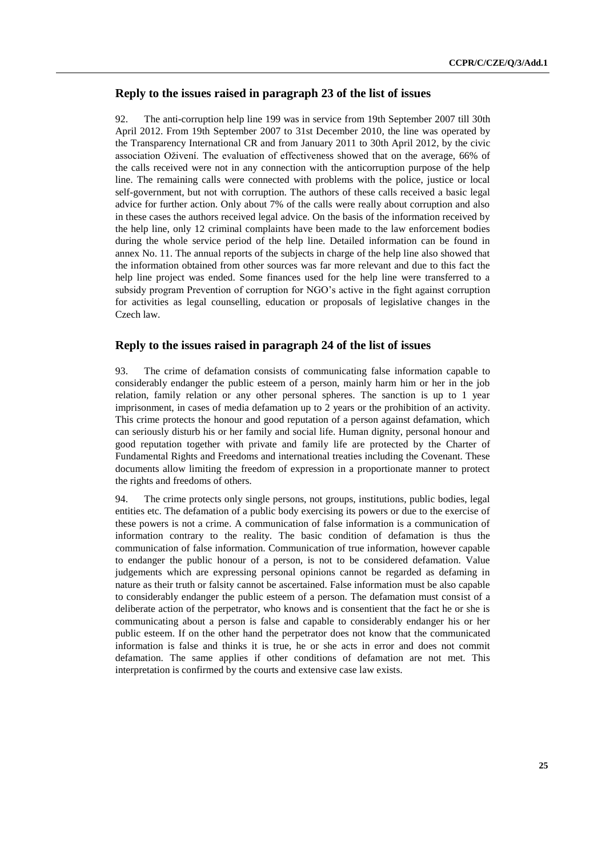# **Reply to the issues raised in paragraph 23 of the list of issues**

92. The anti-corruption help line 199 was in service from 19th September 2007 till 30th April 2012. From 19th September 2007 to 31st December 2010, the line was operated by the Transparency International CR and from January 2011 to 30th April 2012, by the civic association Oživení. The evaluation of effectiveness showed that on the average, 66% of the calls received were not in any connection with the anticorruption purpose of the help line. The remaining calls were connected with problems with the police, justice or local self-government, but not with corruption. The authors of these calls received a basic legal advice for further action. Only about 7% of the calls were really about corruption and also in these cases the authors received legal advice. On the basis of the information received by the help line, only 12 criminal complaints have been made to the law enforcement bodies during the whole service period of the help line. Detailed information can be found in annex No. 11. The annual reports of the subjects in charge of the help line also showed that the information obtained from other sources was far more relevant and due to this fact the help line project was ended. Some finances used for the help line were transferred to a subsidy program Prevention of corruption for NGO's active in the fight against corruption for activities as legal counselling, education or proposals of legislative changes in the Czech law.

#### **Reply to the issues raised in paragraph 24 of the list of issues**

93. The crime of defamation consists of communicating false information capable to considerably endanger the public esteem of a person, mainly harm him or her in the job relation, family relation or any other personal spheres. The sanction is up to 1 year imprisonment, in cases of media defamation up to 2 years or the prohibition of an activity. This crime protects the honour and good reputation of a person against defamation, which can seriously disturb his or her family and social life. Human dignity, personal honour and good reputation together with private and family life are protected by the Charter of Fundamental Rights and Freedoms and international treaties including the Covenant. These documents allow limiting the freedom of expression in a proportionate manner to protect the rights and freedoms of others.

94. The crime protects only single persons, not groups, institutions, public bodies, legal entities etc. The defamation of a public body exercising its powers or due to the exercise of these powers is not a crime. A communication of false information is a communication of information contrary to the reality. The basic condition of defamation is thus the communication of false information. Communication of true information, however capable to endanger the public honour of a person, is not to be considered defamation. Value judgements which are expressing personal opinions cannot be regarded as defaming in nature as their truth or falsity cannot be ascertained. False information must be also capable to considerably endanger the public esteem of a person. The defamation must consist of a deliberate action of the perpetrator, who knows and is consentient that the fact he or she is communicating about a person is false and capable to considerably endanger his or her public esteem. If on the other hand the perpetrator does not know that the communicated information is false and thinks it is true, he or she acts in error and does not commit defamation. The same applies if other conditions of defamation are not met. This interpretation is confirmed by the courts and extensive case law exists.